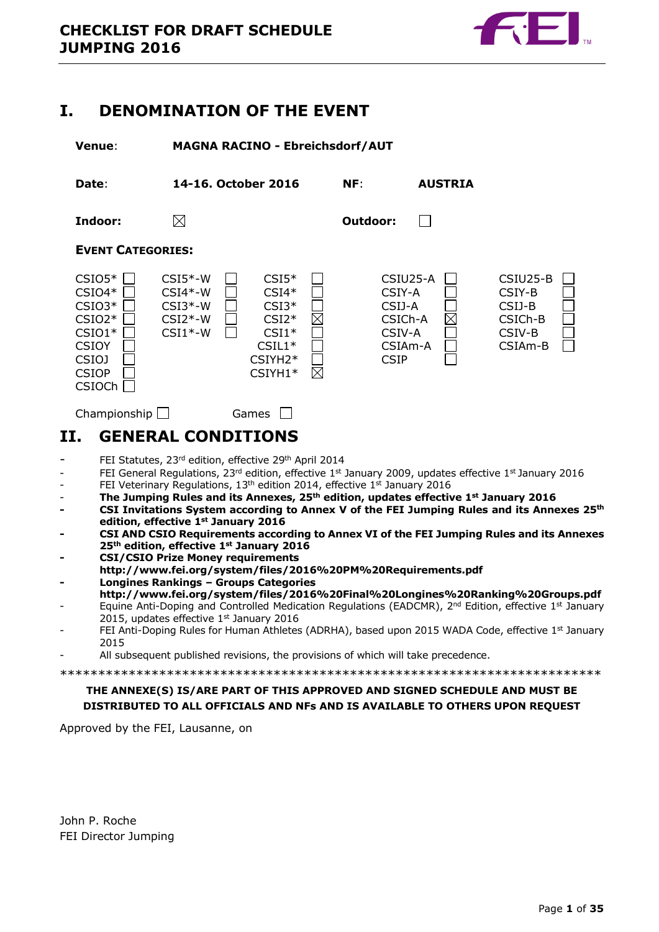

# <span id="page-0-0"></span>**I. DENOMINATION OF THE EVENT**

**Venue**: **MAGNA RACINO - Ebreichsdorf/AUT**

**Date**: **14-16. October 2016 NF**: **AUSTRIA Indoor: Outdoor:**  $\Box$ 

**EVENT CATEGORIES:**



 $Championship$  Games  $\Box$ 

# <span id="page-0-1"></span>**II. GENERAL CONDITIONS**

- FEI Statutes, 23rd edition, effective 29th April 2014
- FEI General Regulations, 23rd edition, effective 1st January 2009, updates effective 1st January 2016
- FEI Veterinary Regulations, 13<sup>th</sup> edition 2014, effective 1<sup>st</sup> January 2016
- **The Jumping Rules and its Annexes, 25th edition, updates effective 1st January 2016**
- **- CSI Invitations System according to Annex V of the FEI Jumping Rules and its Annexes 25th edition, effective 1st January 2016**
- **- CSI AND CSIO Requirements according to Annex VI of the FEI Jumping Rules and its Annexes 25th edition, effective 1st January 2016**
- **- CSI/CSIO Prize Money requirements**
- **http://www.fei.org/system/files/2016%20PM%20Requirements.pdf - Longines Rankings – Groups Categories**
- **<http://www.fei.org/system/files/2016%20Final%20Longines%20Ranking%20Groups.pdf>** Equine Anti-Doping and Controlled Medication Regulations (EADCMR), 2<sup>nd</sup> Edition, effective 1<sup>st</sup> January
- 2015, updates effective  $1<sup>st</sup>$  January 2016
- FEI Anti-Doping Rules for Human Athletes (ADRHA), based upon 2015 WADA Code, effective 1st January 2015
- All subsequent published revisions, the provisions of which will take precedence.

\*\*\*\*\*\*\*\*\*\*\*\*\*\*\*\*\*\*\*\*\*\*\*\*\*\*\*\*\*\*\*\*\*\*\*\*\*\*\*\*\*\*\*\*\*\*\*\*\*\*\*\*\*\*\*\*\*\*\*\*\*\*\*\*\*\*\*\*\*\*\*

## **THE ANNEXE(S) IS/ARE PART OF THIS APPROVED AND SIGNED SCHEDULE AND MUST BE DISTRIBUTED TO ALL OFFICIALS AND NFs AND IS AVAILABLE TO OTHERS UPON REQUEST**

Approved by the FEI, Lausanne, on

John P. Roche FEI Director Jumping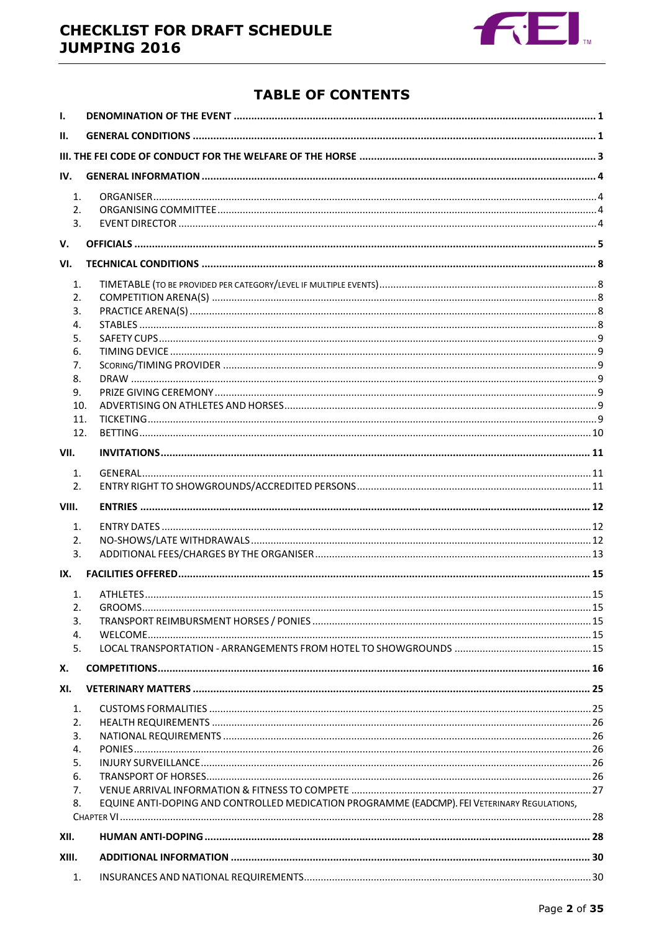

# **TABLE OF CONTENTS**

| I.             |                                                                                              |  |  |  |  |  |
|----------------|----------------------------------------------------------------------------------------------|--|--|--|--|--|
| Н.             |                                                                                              |  |  |  |  |  |
|                |                                                                                              |  |  |  |  |  |
| IV.            |                                                                                              |  |  |  |  |  |
| 1 <sub>1</sub> |                                                                                              |  |  |  |  |  |
| 2.             |                                                                                              |  |  |  |  |  |
| 3.             |                                                                                              |  |  |  |  |  |
| V.             |                                                                                              |  |  |  |  |  |
| VI.            |                                                                                              |  |  |  |  |  |
| 1.             |                                                                                              |  |  |  |  |  |
| 2.             |                                                                                              |  |  |  |  |  |
| 3.             |                                                                                              |  |  |  |  |  |
| 4.             |                                                                                              |  |  |  |  |  |
| 5.             |                                                                                              |  |  |  |  |  |
| 6.             |                                                                                              |  |  |  |  |  |
| 7.<br>8.       |                                                                                              |  |  |  |  |  |
| 9.             |                                                                                              |  |  |  |  |  |
| 10.            |                                                                                              |  |  |  |  |  |
| 11.            |                                                                                              |  |  |  |  |  |
| 12.            |                                                                                              |  |  |  |  |  |
| VII.           |                                                                                              |  |  |  |  |  |
| 1.             |                                                                                              |  |  |  |  |  |
| 2.             |                                                                                              |  |  |  |  |  |
|                |                                                                                              |  |  |  |  |  |
|                |                                                                                              |  |  |  |  |  |
| VIII.          |                                                                                              |  |  |  |  |  |
| 1.             |                                                                                              |  |  |  |  |  |
| 2.             |                                                                                              |  |  |  |  |  |
| 3.             |                                                                                              |  |  |  |  |  |
| IX.            |                                                                                              |  |  |  |  |  |
| 1.             |                                                                                              |  |  |  |  |  |
| 2.             |                                                                                              |  |  |  |  |  |
| 3.             |                                                                                              |  |  |  |  |  |
| 4.             |                                                                                              |  |  |  |  |  |
| 5.             |                                                                                              |  |  |  |  |  |
| Х.             |                                                                                              |  |  |  |  |  |
| XI.            |                                                                                              |  |  |  |  |  |
| 1.             |                                                                                              |  |  |  |  |  |
| 2.             |                                                                                              |  |  |  |  |  |
| 3.             |                                                                                              |  |  |  |  |  |
| 4.             |                                                                                              |  |  |  |  |  |
| 5.             |                                                                                              |  |  |  |  |  |
| 6.<br>7.       |                                                                                              |  |  |  |  |  |
| 8.             | EQUINE ANTI-DOPING AND CONTROLLED MEDICATION PROGRAMME (EADCMP). FEI VETERINARY REGULATIONS, |  |  |  |  |  |
|                |                                                                                              |  |  |  |  |  |
| XII.           |                                                                                              |  |  |  |  |  |
| XIII.          |                                                                                              |  |  |  |  |  |
| 1.             |                                                                                              |  |  |  |  |  |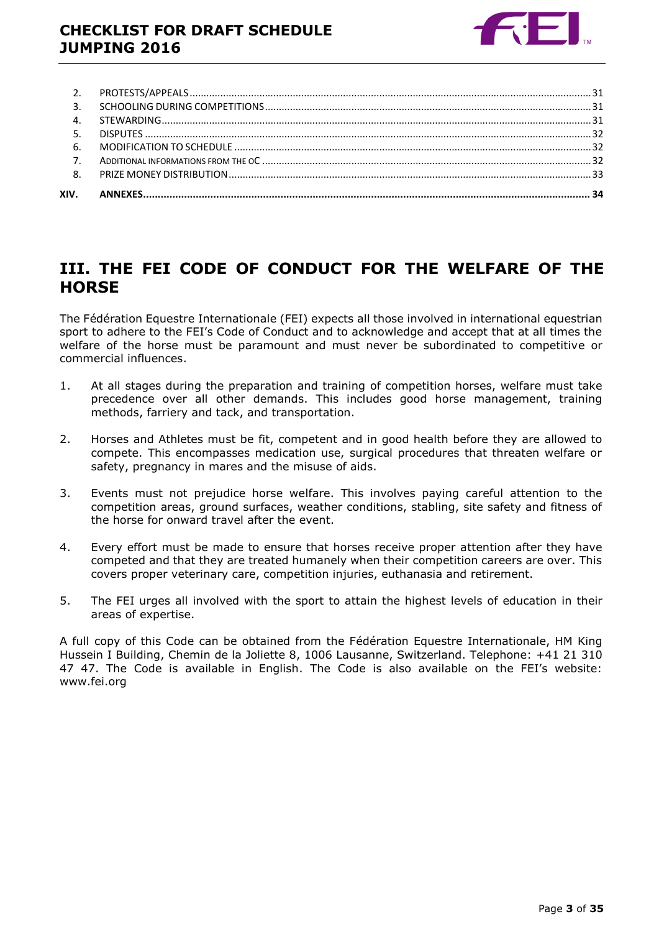

# <span id="page-2-0"></span>**III. THE FEI CODE OF CONDUCT FOR THE WELFARE OF THE HORSE**

The Fédération Equestre Internationale (FEI) expects all those involved in international equestrian sport to adhere to the FEI's Code of Conduct and to acknowledge and accept that at all times the welfare of the horse must be paramount and must never be subordinated to competitive or commercial influences.

- 1. At all stages during the preparation and training of competition horses, welfare must take precedence over all other demands. This includes good horse management, training methods, farriery and tack, and transportation.
- 2. Horses and Athletes must be fit, competent and in good health before they are allowed to compete. This encompasses medication use, surgical procedures that threaten welfare or safety, pregnancy in mares and the misuse of aids.
- 3. Events must not prejudice horse welfare. This involves paying careful attention to the competition areas, ground surfaces, weather conditions, stabling, site safety and fitness of the horse for onward travel after the event.
- 4. Every effort must be made to ensure that horses receive proper attention after they have competed and that they are treated humanely when their competition careers are over. This covers proper veterinary care, competition injuries, euthanasia and retirement.
- 5. The FEI urges all involved with the sport to attain the highest levels of education in their areas of expertise.

A full copy of this Code can be obtained from the Fédération Equestre Internationale, HM King Hussein I Building, Chemin de la Joliette 8, 1006 Lausanne, Switzerland. Telephone: +41 21 310 47 47. The Code is available in English. The Code is also available on the FEI's website: www.fei.org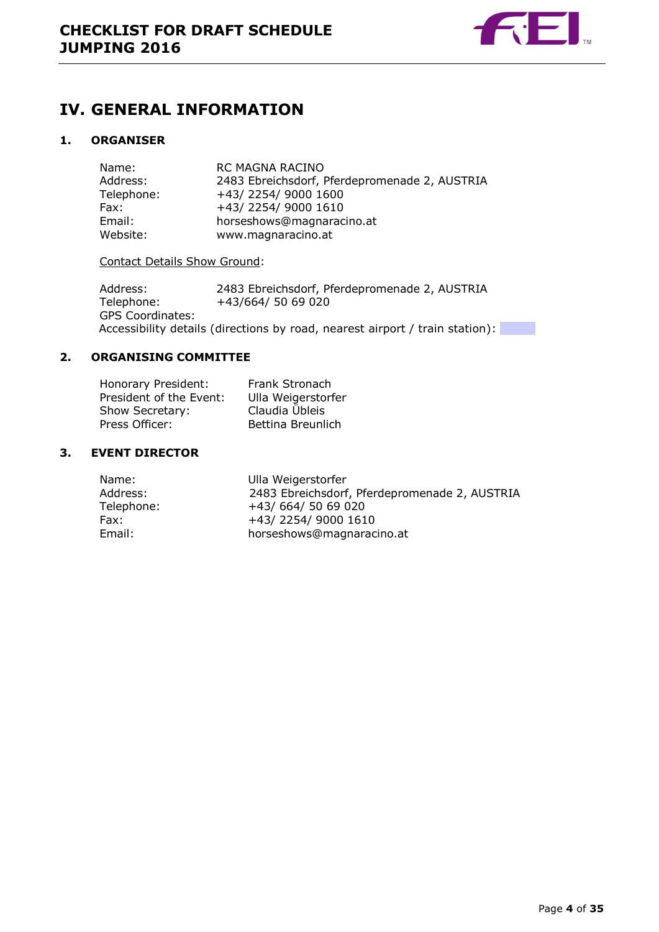

# <span id="page-3-0"></span>**IV. GENERAL INFORMATION**

## <span id="page-3-1"></span>**1. ORGANISER**

| Name:      | <b>RC MAGNA RACINO</b>                        |
|------------|-----------------------------------------------|
| Address:   | 2483 Ebreichsdorf, Pferdepromenade 2, AUSTRIA |
| Telephone: | +43/2254/9000 1600                            |
| Fax:       | +43/2254/9000 1610                            |
| Email:     | horseshows@magnaracino.at                     |
| Website:   | www.magnaracino.at                            |

## Contact Details Show Ground:

Address: 2483 Ebreichsdorf, Pferdepromenade 2, AUSTRIA Telephone: +43/664/ 50 69 020 GPS Coordinates: Accessibility details (directions by road, nearest airport / train station):

## <span id="page-3-2"></span>**2. ORGANISING COMMITTEE**

| Honorary President:     | Frank Stronach     |
|-------------------------|--------------------|
| President of the Event: | Ulla Weigerstorfer |
| Show Secretary:         | Claudia Übleis     |
| Press Officer:          | Bettina Breunlich  |

## <span id="page-3-3"></span>**3. EVENT DIRECTOR**

| Name:      | Ulla Weigerstorfer                            |
|------------|-----------------------------------------------|
| Address:   | 2483 Ebreichsdorf, Pferdepromenade 2, AUSTRIA |
| Telephone: | +43/664/5069020                               |
| Fax:       | +43/2254/9000 1610                            |
| Email:     | horseshows@magnaracino.at                     |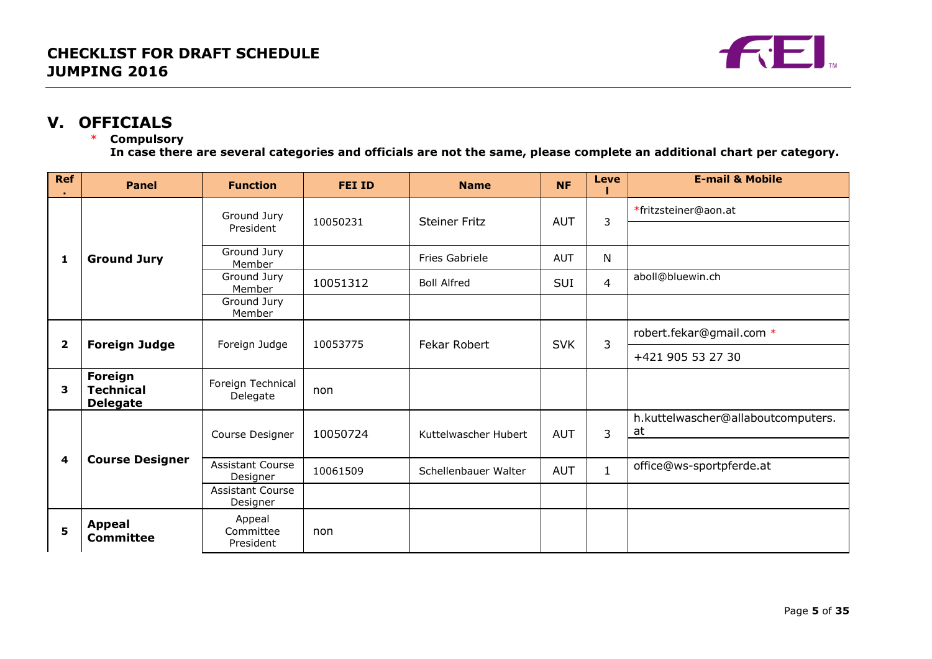

# **V. OFFICIALS**

## \* **Compulsory**

**In case there are several categories and officials are not the same, please complete an additional chart per category.**

<span id="page-4-0"></span>

| Ref          | <b>Panel</b>                                   | <b>Function</b>                                 | <b>FEI ID</b> | <b>Name</b>           | <b>NF</b>         | <b>Leve</b>    | <b>E-mail &amp; Mobile</b>               |
|--------------|------------------------------------------------|-------------------------------------------------|---------------|-----------------------|-------------------|----------------|------------------------------------------|
|              |                                                | Ground Jury<br>President                        | 10050231      | <b>Steiner Fritz</b>  | <b>AUT</b>        | 3              | *fritzsteiner@aon.at                     |
| 1            | <b>Ground Jury</b>                             | Ground Jury<br>Member                           |               | <b>Fries Gabriele</b> | <b>AUT</b>        | N              |                                          |
|              |                                                | Ground Jury<br>Member                           | 10051312      | <b>Boll Alfred</b>    | <b>SUI</b>        | $\overline{4}$ | aboll@bluewin.ch                         |
|              |                                                | Ground Jury<br>Member                           |               |                       |                   |                |                                          |
| $\mathbf{2}$ | <b>Foreign Judge</b>                           | Foreign Judge                                   | 10053775      | <b>Fekar Robert</b>   | <b>SVK</b>        | 3              | robert.fekar@gmail.com *                 |
|              |                                                |                                                 |               |                       | +421 905 53 27 30 |                |                                          |
| 3            | Foreign<br><b>Technical</b><br><b>Delegate</b> | Foreign Technical<br>Delegate                   | non           |                       |                   |                |                                          |
|              |                                                | Course Designer                                 | 10050724      | Kuttelwascher Hubert  | <b>AUT</b>        | 3              | h.kuttelwascher@allaboutcomputers.<br>at |
| 4            | <b>Course Designer</b>                         | <b>Assistant Course</b>                         | 10061509      | Schellenbauer Walter  | <b>AUT</b>        | $\mathbf{1}$   | office@ws-sportpferde.at                 |
|              |                                                | Designer<br><b>Assistant Course</b><br>Designer |               |                       |                   |                |                                          |
| 5            | <b>Appeal</b><br><b>Committee</b>              | Appeal<br>Committee<br>President                | non           |                       |                   |                |                                          |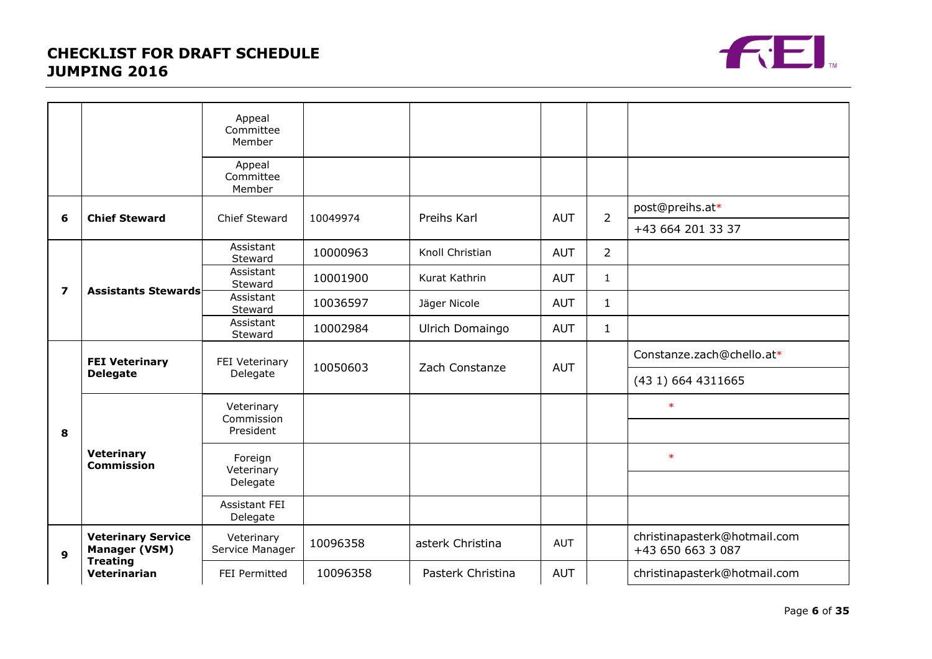

|                         |                                                   | Appeal<br>Committee<br>Member                            |          |                   |            |                    |                                                   |
|-------------------------|---------------------------------------------------|----------------------------------------------------------|----------|-------------------|------------|--------------------|---------------------------------------------------|
|                         |                                                   | Appeal<br>Committee<br>Member                            |          |                   |            |                    |                                                   |
|                         |                                                   |                                                          |          |                   |            |                    | post@preihs.at*                                   |
| 6                       | <b>Chief Steward</b>                              | <b>Chief Steward</b>                                     | 10049974 | Preihs Karl       | <b>AUT</b> | $\overline{2}$     | +43 664 201 33 37                                 |
|                         |                                                   | Assistant<br>Steward                                     | 10000963 | Knoll Christian   | <b>AUT</b> | $\overline{2}$     |                                                   |
|                         |                                                   | Assistant<br>Steward                                     | 10001900 | Kurat Kathrin     | <b>AUT</b> | $\mathbf{1}$       |                                                   |
| $\overline{\mathbf{z}}$ | <b>Assistants Stewards</b>                        | Assistant<br>Steward                                     | 10036597 | Jäger Nicole      | <b>AUT</b> | $\mathbf{1}$       |                                                   |
|                         |                                                   | Assistant<br>Steward                                     | 10002984 | Ulrich Domaingo   | <b>AUT</b> | $\mathbf{1}$       |                                                   |
|                         | <b>FEI Veterinary</b><br><b>Delegate</b>          | FEI Veterinary<br>10050603<br>Zach Constanze<br>Delegate |          |                   | <b>AUT</b> |                    | Constanze.zach@chello.at*                         |
|                         |                                                   |                                                          |          |                   |            | (43 1) 664 4311665 |                                                   |
|                         | <b>Veterinary</b><br><b>Commission</b>            | Veterinary                                               |          |                   |            |                    | $\ast$                                            |
| 8                       |                                                   | Commission<br>President                                  |          |                   |            |                    |                                                   |
|                         |                                                   | Foreign<br>Veterinary                                    |          |                   |            |                    | $\ast$                                            |
|                         |                                                   | Delegate                                                 |          |                   |            |                    |                                                   |
|                         |                                                   | Assistant FEI<br>Delegate                                |          |                   |            |                    |                                                   |
| 9                       | <b>Veterinary Service</b><br><b>Manager (VSM)</b> | Veterinary<br>Service Manager                            | 10096358 | asterk Christina  | <b>AUT</b> |                    | christinapasterk@hotmail.com<br>+43 650 663 3 087 |
|                         | <b>Treating</b><br>Veterinarian                   | FEI Permitted                                            | 10096358 | Pasterk Christina | <b>AUT</b> |                    | christinapasterk@hotmail.com                      |
|                         |                                                   |                                                          |          |                   |            |                    |                                                   |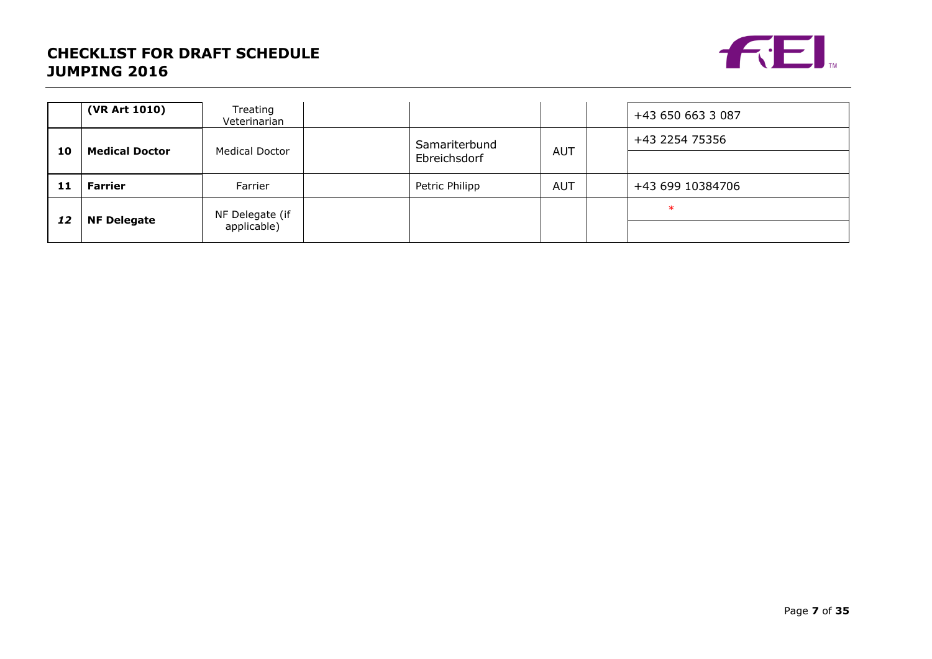

|    | (VR Art 1010)         | Treating<br>Veterinarian |  |                               |            |  | +43 650 663 3 087 |
|----|-----------------------|--------------------------|--|-------------------------------|------------|--|-------------------|
| 10 | <b>Medical Doctor</b> | <b>Medical Doctor</b>    |  | Samariterbund<br>Ebreichsdorf | <b>AUT</b> |  | +43 2254 75356    |
|    |                       |                          |  |                               |            |  |                   |
| 11 | Farrier               | Farrier                  |  | Petric Philipp                | <b>AUT</b> |  | +43 699 10384706  |
|    |                       | NF Delegate (if          |  |                               |            |  | $\ast$            |
| 12 | <b>NF Delegate</b>    | applicable)              |  |                               |            |  |                   |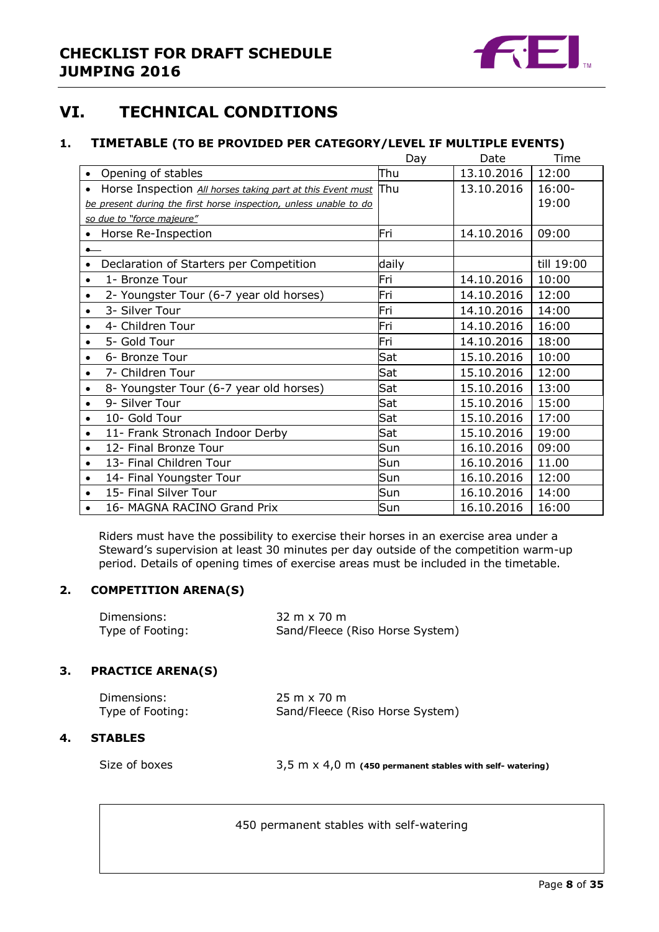

# <span id="page-7-0"></span>**VI. TECHNICAL CONDITIONS**

## <span id="page-7-1"></span>**1. TIMETABLE (TO BE PROVIDED PER CATEGORY/LEVEL IF MULTIPLE EVENTS)**

|                                                                         | Day   | Date       | Time       |
|-------------------------------------------------------------------------|-------|------------|------------|
| Opening of stables<br>$\bullet$                                         | Thu   | 13.10.2016 | 12:00      |
| Horse Inspection All horses taking part at this Event must<br>$\bullet$ | Thu   | 13.10.2016 | $16:00 -$  |
| be present during the first horse inspection, unless unable to do       |       |            | 19:00      |
| so due to "force majeure"                                               |       |            |            |
| Horse Re-Inspection                                                     | Fri   | 14.10.2016 | 09:00      |
|                                                                         |       |            |            |
| Declaration of Starters per Competition                                 | daily |            | till 19:00 |
| 1- Bronze Tour<br>$\bullet$                                             | Fri   | 14.10.2016 | 10:00      |
| 2- Youngster Tour (6-7 year old horses)<br>٠                            | Fri   | 14.10.2016 | 12:00      |
| 3- Silver Tour                                                          | Fri   | 14.10.2016 | 14:00      |
| 4- Children Tour                                                        | Fri   | 14.10.2016 | 16:00      |
| 5- Gold Tour                                                            | Fri   | 14.10.2016 | 18:00      |
| 6- Bronze Tour                                                          | Sat   | 15.10.2016 | 10:00      |
| 7- Children Tour<br>$\bullet$                                           | Sat   | 15.10.2016 | 12:00      |
| 8- Youngster Tour (6-7 year old horses)                                 | Sat   | 15.10.2016 | 13:00      |
| 9- Silver Tour                                                          | Sat   | 15.10.2016 | 15:00      |
| 10- Gold Tour<br>٠                                                      | Sat   | 15.10.2016 | 17:00      |
| 11- Frank Stronach Indoor Derby                                         | Sat   | 15.10.2016 | 19:00      |
| 12- Final Bronze Tour                                                   | Sun   | 16.10.2016 | 09:00      |
| 13- Final Children Tour                                                 | Sun   | 16.10.2016 | 11.00      |
| 14- Final Youngster Tour                                                | Sun   | 16.10.2016 | 12:00      |
| 15- Final Silver Tour                                                   | Sun   | 16.10.2016 | 14:00      |
| 16- MAGNA RACINO Grand Prix                                             | Sun   | 16.10.2016 | 16:00      |

Riders must have the possibility to exercise their horses in an exercise area under a Steward's supervision at least 30 minutes per day outside of the competition warm-up period. Details of opening times of exercise areas must be included in the timetable.

## <span id="page-7-2"></span>**2. COMPETITION ARENA(S)**

| Dimensions:      | $32 \text{ m} \times 70 \text{ m}$ |
|------------------|------------------------------------|
| Type of Footing: | Sand/Fleece (Riso Horse System)    |

## <span id="page-7-3"></span>**3. PRACTICE ARENA(S)**

| Dimensions:      | $25 \text{ m} \times 70 \text{ m}$ |
|------------------|------------------------------------|
| Type of Footing: | Sand/Fleece (Riso Horse System)    |

## <span id="page-7-4"></span>**4. STABLES**

Size of boxes 3,5 m x 4,0 m (450 permanent stables with self- watering)

450 permanent stables with self-watering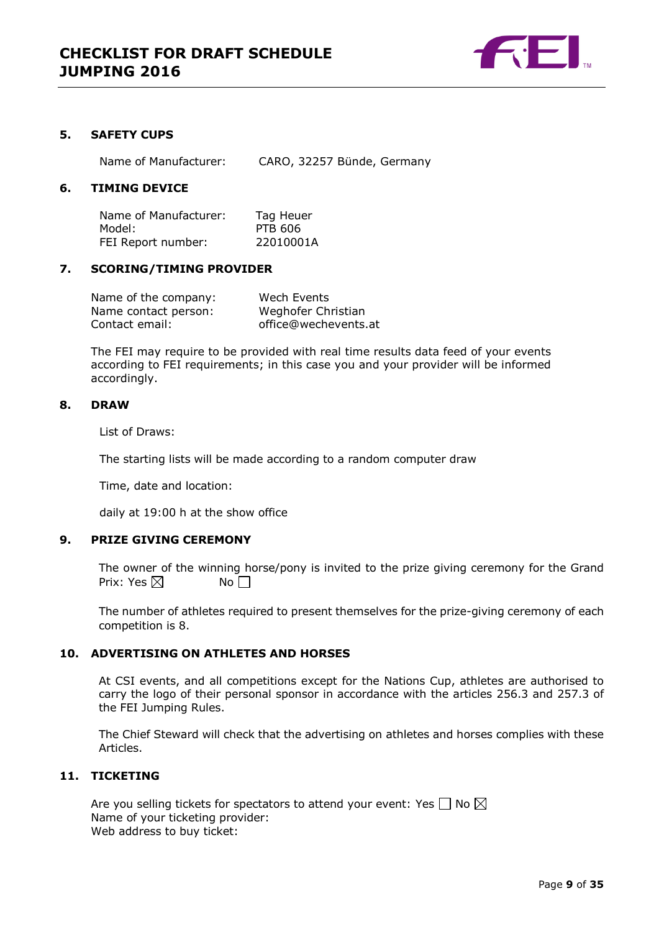

## <span id="page-8-0"></span>**5. SAFETY CUPS**

Name of Manufacturer: CARO, 32257 Bünde, Germany

## <span id="page-8-1"></span>**6. TIMING DEVICE**

Name of Manufacturer: Tag Heuer Model: PTB 606 FEI Report number: 22010001A

## <span id="page-8-2"></span>**7. SCORING/TIMING PROVIDER**

| Name of the company: | Wech Events          |
|----------------------|----------------------|
| Name contact person: | Weghofer Christian   |
| Contact email:       | office@wechevents.at |

The FEI may require to be provided with real time results data feed of your events according to FEI requirements; in this case you and your provider will be informed accordingly.

#### <span id="page-8-3"></span>**8. DRAW**

List of Draws:

The starting lists will be made according to a random computer draw

Time, date and location:

daily at 19:00 h at the show office

## <span id="page-8-4"></span>**9. PRIZE GIVING CEREMONY**

The owner of the winning horse/pony is invited to the prize giving ceremony for the Grand Prix: Yes  $\boxtimes$  No  $\Box$ 

The number of athletes required to present themselves for the prize-giving ceremony of each competition is 8.

## <span id="page-8-5"></span>**10. ADVERTISING ON ATHLETES AND HORSES**

At CSI events, and all competitions except for the Nations Cup, athletes are authorised to carry the logo of their personal sponsor in accordance with the articles 256.3 and 257.3 of the FEI Jumping Rules.

The Chief Steward will check that the advertising on athletes and horses complies with these Articles.

## <span id="page-8-6"></span>**11. TICKETING**

Are you selling tickets for spectators to attend your event: Yes  $\Box$  No  $\boxtimes$ Name of your ticketing provider: Web address to buy ticket: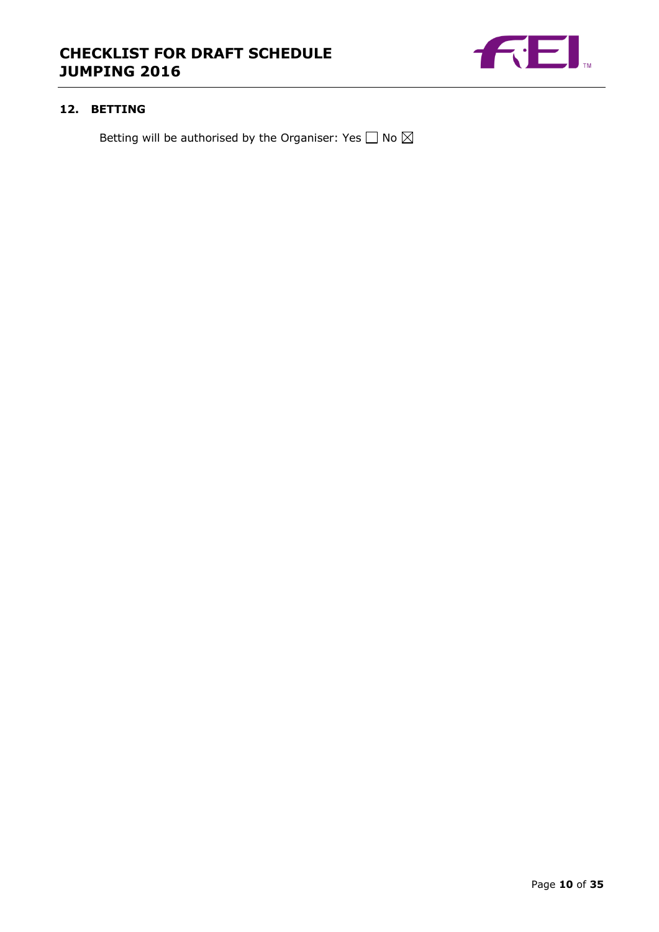

## <span id="page-9-0"></span>**12. BETTING**

Betting will be authorised by the Organiser: Yes  $\Box$  No  $\boxtimes$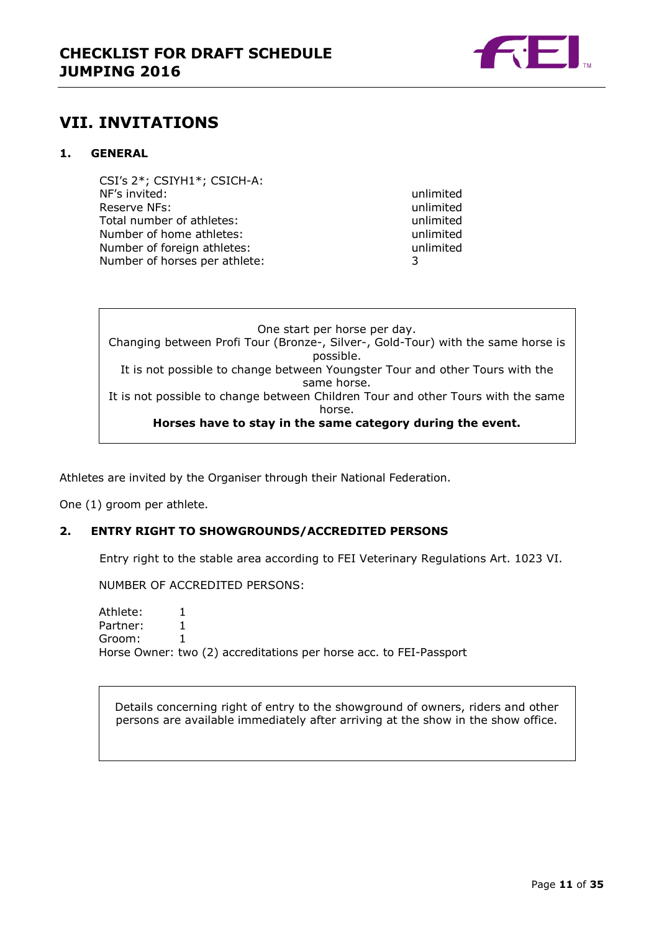

# <span id="page-10-0"></span>**VII. INVITATIONS**

## <span id="page-10-1"></span>**1. GENERAL**

CSI's 2\*; CSIYH1\*; CSICH-A: NF's invited: unlimited Reserve NFs: which is a server of the server of the server of the server of the server of the server of the server of the server of the server of the server of the server of the server of the server of the server of the se Total number of athletes: Total number of athletes: Number of home athletes: unlimited<br>Number of foreign athletes: unlimited<br>unlimited Number of foreign athletes: Number of horses per athlete: 3

One start per horse per day. Changing between Profi Tour (Bronze-, Silver-, Gold-Tour) with the same horse is possible. It is not possible to change between Youngster Tour and other Tours with the same horse. It is not possible to change between Children Tour and other Tours with the same horse. **Horses have to stay in the same category during the event.**

Athletes are invited by the Organiser through their National Federation.

One (1) groom per athlete.

## <span id="page-10-2"></span>**2. ENTRY RIGHT TO SHOWGROUNDS/ACCREDITED PERSONS**

Entry right to the stable area according to FEI Veterinary Regulations Art. 1023 VI.

NUMBER OF ACCREDITED PERSONS:

Athlete: 1 Partner: 1 Groom: 1 Horse Owner: two (2) accreditations per horse acc. to FEI-Passport

Details concerning right of entry to the showground of owners, riders and other persons are available immediately after arriving at the show in the show office.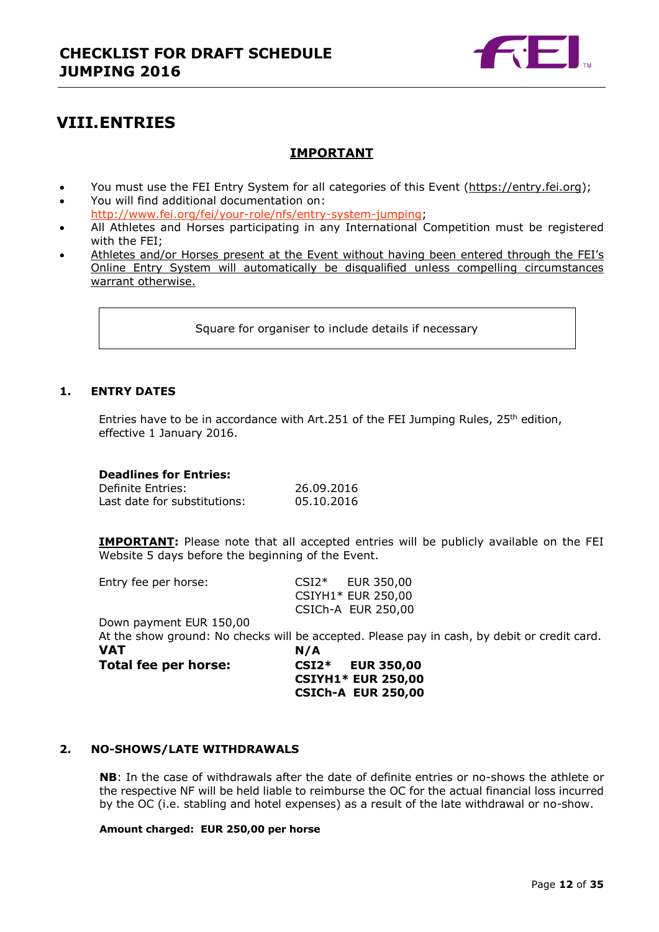

# <span id="page-11-0"></span>**VIII.ENTRIES**

## **IMPORTANT**

- You must use the FEI Entry System for all categories of this Event [\(https://entry.fei.org\)](https://entry.fei.org/);
- You will find additional documentation on: [http://www.fei.org/fei/your-role/nfs/entry-system-jumping;](http://www.fei.org/fei/your-role/nfs/entry-system-jumping)
- All Athletes and Horses participating in any International Competition must be registered with the FEI;
- Athletes and/or Horses present at the Event without having been entered through the FEI's Online Entry System will automatically be disqualified unless compelling circumstances warrant otherwise.

Square for organiser to include details if necessary

## <span id="page-11-1"></span>**1. ENTRY DATES**

Entries have to be in accordance with Art.251 of the FEI Jumping Rules,  $25<sup>th</sup>$  edition, effective 1 January 2016.

## **Deadlines for Entries:**

Definite Entries: 26.09.2016 Last date for substitutions: 05.10.2016

**IMPORTANT:** Please note that all accepted entries will be publicly available on the FEI Website 5 days before the beginning of the Event.

| Entry fee per horse:    |         | CSI2* EUR 350,00                                                                             |
|-------------------------|---------|----------------------------------------------------------------------------------------------|
|                         |         | CSIYH1* EUR 250,00                                                                           |
|                         |         | CSICh-A EUR 250,00                                                                           |
| Down payment EUR 150,00 |         |                                                                                              |
|                         |         | At the show ground: No checks will be accepted. Please pay in cash, by debit or credit card. |
| <b>VAT</b>              | N/A     |                                                                                              |
| Total fee per horse:    | $CSI2*$ | <b>EUR 350,00</b>                                                                            |
|                         |         | <b>CSIYH1* EUR 250,00</b>                                                                    |
|                         |         | <b>CSICh-A EUR 250,00</b>                                                                    |

## <span id="page-11-2"></span>**2. NO-SHOWS/LATE WITHDRAWALS**

**NB**: In the case of withdrawals after the date of definite entries or no-shows the athlete or the respective NF will be held liable to reimburse the OC for the actual financial loss incurred by the OC (i.e. stabling and hotel expenses) as a result of the late withdrawal or no-show.

## **Amount charged: EUR 250,00 per horse**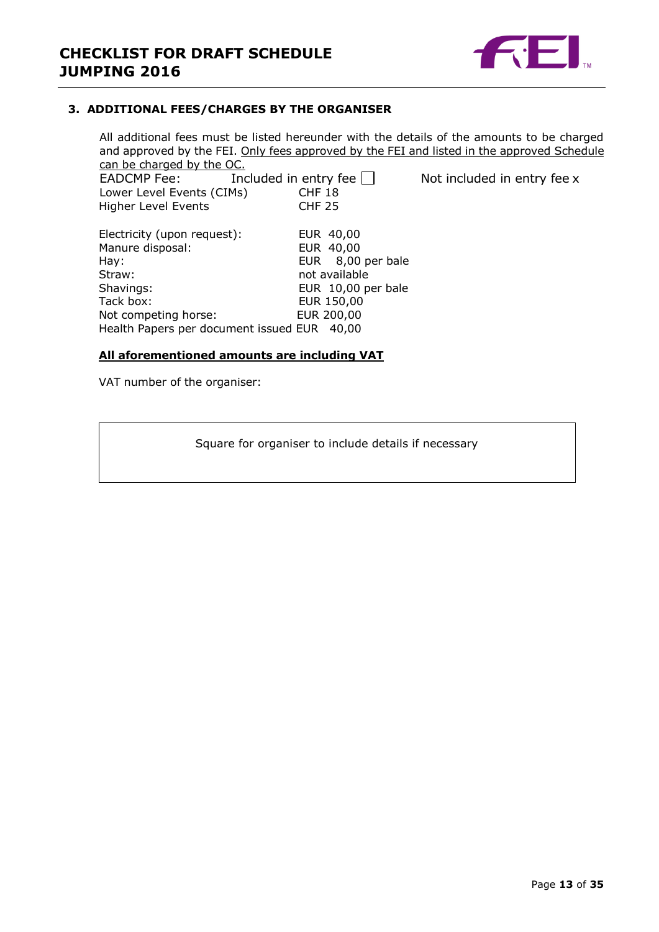

## <span id="page-12-0"></span>**3. ADDITIONAL FEES/CHARGES BY THE ORGANISER**

All additional fees must be listed hereunder with the details of the amounts to be charged and approved by the FEI. Only fees approved by the FEI and listed in the approved Schedule can be charged by the OC.

| <b>EADCMP Fee:</b>                          | Included in entry fee |                    | Not included in entry fee x |
|---------------------------------------------|-----------------------|--------------------|-----------------------------|
| Lower Level Events (CIMs)                   | CHF 18                |                    |                             |
| <b>Higher Level Events</b>                  | <b>CHF 25</b>         |                    |                             |
|                                             |                       |                    |                             |
| Electricity (upon request):                 |                       | EUR 40,00          |                             |
| Manure disposal:                            |                       | EUR 40,00          |                             |
| Hay:                                        |                       | EUR 8,00 per bale  |                             |
| Straw:                                      |                       | not available      |                             |
| Shavings:                                   |                       | EUR 10,00 per bale |                             |
| Tack box:                                   |                       | EUR 150,00         |                             |
| Not competing horse:                        |                       | EUR 200,00         |                             |
| Health Papers per document issued EUR 40,00 |                       |                    |                             |
|                                             |                       |                    |                             |

## **All aforementioned amounts are including VAT**

VAT number of the organiser:

Square for organiser to include details if necessary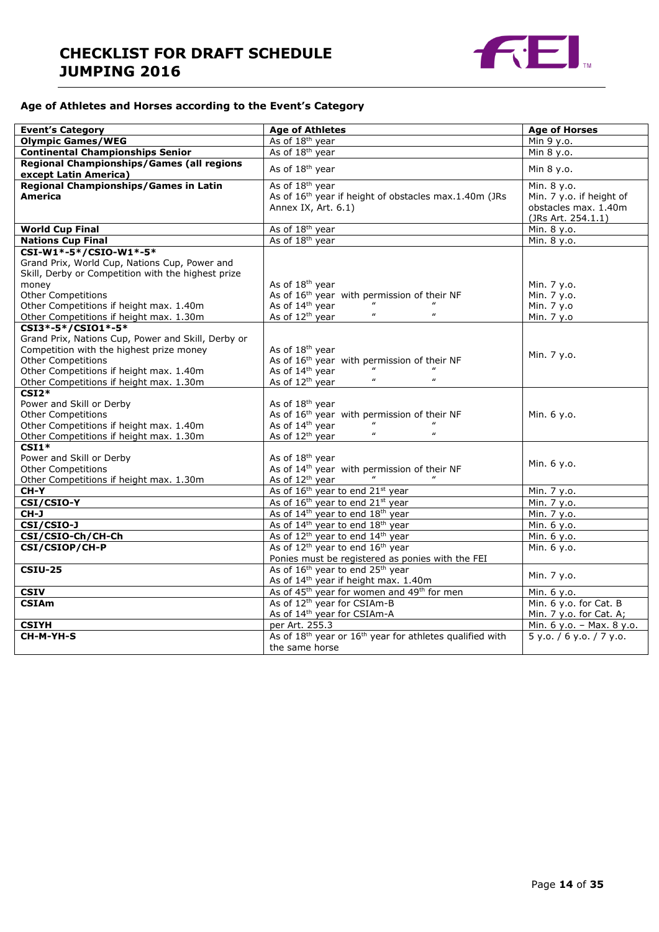

#### **Age of Athletes and Horses according to the Event's Category**

| <b>Event's Category</b>                                                            | <b>Age of Athletes</b>                                                                                        | <b>Age of Horses</b>      |
|------------------------------------------------------------------------------------|---------------------------------------------------------------------------------------------------------------|---------------------------|
| <b>Olympic Games/WEG</b>                                                           | As of 18 <sup>th</sup> year                                                                                   | Min 9 y.o.                |
| <b>Continental Championships Senior</b>                                            | As of 18 <sup>th</sup> year                                                                                   | Min 8 y.o.                |
| Regional Championships/Games (all regions                                          | As of 18 <sup>th</sup> year                                                                                   | Min 8 y.o.                |
| except Latin America)                                                              |                                                                                                               |                           |
| <b>Regional Championships/Games in Latin</b>                                       | As of 18 <sup>th</sup> year                                                                                   | Min. 8 y.o.               |
| <b>America</b>                                                                     | As of 16 <sup>th</sup> year if height of obstacles max.1.40m (JRs                                             | Min. 7 y.o. if height of  |
|                                                                                    | Annex IX, Art. 6.1)                                                                                           | obstacles max. 1.40m      |
|                                                                                    |                                                                                                               | (JRs Art. 254.1.1)        |
| <b>World Cup Final</b>                                                             | As of 18 <sup>th</sup> year                                                                                   | Min. 8 y.o.               |
| <b>Nations Cup Final</b>                                                           | As of 18 <sup>th</sup> year                                                                                   | Min. 8 y.o.               |
| CSI-W1*-5*/CSIO-W1*-5*                                                             |                                                                                                               |                           |
| Grand Prix, World Cup, Nations Cup, Power and                                      |                                                                                                               |                           |
| Skill, Derby or Competition with the highest prize                                 |                                                                                                               |                           |
| money                                                                              | As of 18 <sup>th</sup> year                                                                                   | Min. 7 y.o.               |
| Other Competitions                                                                 | As of 16 <sup>th</sup> year with permission of their NF                                                       | Min. 7 y.o.               |
| Other Competitions if height max. 1.40m                                            | As of 14 <sup>th</sup> year<br>$\boldsymbol{u}$<br>$\boldsymbol{\mu}$                                         | Min. 7 y.o                |
| Other Competitions if height max. 1.30m                                            | As of 12 <sup>th</sup> year                                                                                   | Min. 7 y.o                |
| CSI3*-5*/CSI01*-5*                                                                 |                                                                                                               |                           |
| Grand Prix, Nations Cup, Power and Skill, Derby or                                 |                                                                                                               |                           |
| Competition with the highest prize money                                           | As of 18 <sup>th</sup> year                                                                                   | Min. 7 y.o.               |
| <b>Other Competitions</b>                                                          | As of 16 <sup>th</sup> year with permission of their NF                                                       |                           |
| Other Competitions if height max. 1.40m                                            | As of 14 <sup>th</sup> year<br>$\boldsymbol{\mathit{u}}$<br>$\boldsymbol{\mu}$<br>As of 12 <sup>th</sup> year |                           |
| Other Competitions if height max. 1.30m                                            |                                                                                                               |                           |
| $CSI2*$                                                                            |                                                                                                               |                           |
| Power and Skill or Derby                                                           | As of 18 <sup>th</sup> year                                                                                   |                           |
| <b>Other Competitions</b>                                                          | As of 16 <sup>th</sup> year with permission of their NF<br>As of 14 <sup>th</sup> year                        | Min. 6 y.o.               |
| Other Competitions if height max. 1.40m<br>Other Competitions if height max. 1.30m | $\boldsymbol{\mu}$<br>$\boldsymbol{\mu}$<br>As of 12 <sup>th</sup> year                                       |                           |
| $CSI1*$                                                                            |                                                                                                               |                           |
| Power and Skill or Derby                                                           | As of 18 <sup>th</sup> year                                                                                   |                           |
| <b>Other Competitions</b>                                                          | As of 14 <sup>th</sup> year with permission of their NF                                                       | Min. 6 y.o.               |
| Other Competitions if height max. 1.30m                                            | As of $12th$ year                                                                                             |                           |
| CH-Y                                                                               | As of 16 <sup>th</sup> year to end 21st year                                                                  | Min. 7 y.o.               |
| CSI/CSIO-Y                                                                         | As of 16 <sup>th</sup> year to end 21st year                                                                  | Min. 7 y.o.               |
| $CH-J$                                                                             | As of 14 <sup>th</sup> year to end 18 <sup>th</sup> year                                                      | Min. 7 y.o.               |
| CSI/CSIO-J                                                                         | As of 14 <sup>th</sup> year to end 18 <sup>th</sup> year                                                      | Min. 6 y.o.               |
| CSI/CSIO-Ch/CH-Ch                                                                  | As of 12 <sup>th</sup> year to end 14 <sup>th</sup> year                                                      | Min. 6 y.o.               |
| CSI/CSIOP/CH-P                                                                     | As of 12 <sup>th</sup> year to end 16 <sup>th</sup> year                                                      | Min. $6 y.o.$             |
|                                                                                    | Ponies must be registered as ponies with the FEI                                                              |                           |
| <b>CSIU-25</b>                                                                     | As of 16 <sup>th</sup> year to end 25 <sup>th</sup> year                                                      |                           |
|                                                                                    | As of 14 <sup>th</sup> year if height max. 1.40m                                                              | Min. 7 y.o.               |
| <b>CSIV</b>                                                                        | As of 45 <sup>th</sup> year for women and 49 <sup>th</sup> for men                                            | Min. 6 y.o.               |
|                                                                                    |                                                                                                               |                           |
| <b>CSIAm</b>                                                                       | As of 12 <sup>th</sup> year for CSIAm-B<br>As of 14 <sup>th</sup> year for CSIAm-A                            | Min. 6 y.o. for Cat. B    |
|                                                                                    | per Art. 255.3                                                                                                | Min. 7 y.o. for Cat. A;   |
| <b>CSIYH</b>                                                                       |                                                                                                               | Min. 6 y.o. - Max. 8 y.o. |
| CH-M-YH-S                                                                          | As of 18 <sup>th</sup> year or 16 <sup>th</sup> year for athletes qualified with                              | 5 y.o. / 6 y.o. / 7 y.o.  |
|                                                                                    | the same horse                                                                                                |                           |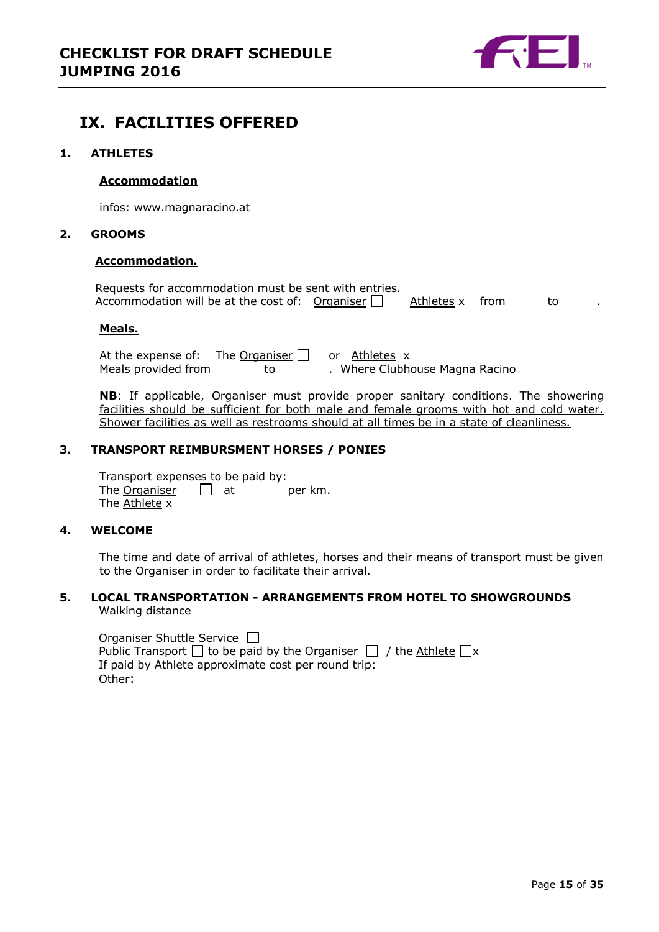

# <span id="page-14-0"></span>**IX. FACILITIES OFFERED**

## <span id="page-14-1"></span>**1. ATHLETES**

#### **Accommodation**

infos: www.magnaracino.at

## <span id="page-14-2"></span>**2. GROOMS**

#### **Accommodation.**

| Requests for accommodation must be sent with entries.  |                 |  |  |
|--------------------------------------------------------|-----------------|--|--|
| Accommodation will be at the cost of: Organiser $\Box$ | Athletes x from |  |  |

#### **Meals.**

At the expense of: The Organiser  $\Box$  or Athletes x<br>Meals provided from to . Where Clubh to . Where Clubhouse Magna Racino

**NB**: If applicable, Organiser must provide proper sanitary conditions. The showering facilities should be sufficient for both male and female grooms with hot and cold water. Shower facilities as well as restrooms should at all times be in a state of cleanliness.

## <span id="page-14-3"></span>**3. TRANSPORT REIMBURSMENT HORSES / PONIES**

Transport expenses to be paid by: The Organiser  $\Box$  at per km. The Athlete x

## <span id="page-14-4"></span>**4. WELCOME**

The time and date of arrival of athletes, horses and their means of transport must be given to the Organiser in order to facilitate their arrival.

#### <span id="page-14-5"></span>**5. LOCAL TRANSPORTATION - ARRANGEMENTS FROM HOTEL TO SHOWGROUNDS** Walking distance  $\square$

| Organiser Shuttle Service $\Box$                                                  |
|-----------------------------------------------------------------------------------|
| Public Transport $\Box$ to be paid by the Organiser $\Box$ / the Athlete $\Box$ x |
| If paid by Athlete approximate cost per round trip:                               |
| Other:                                                                            |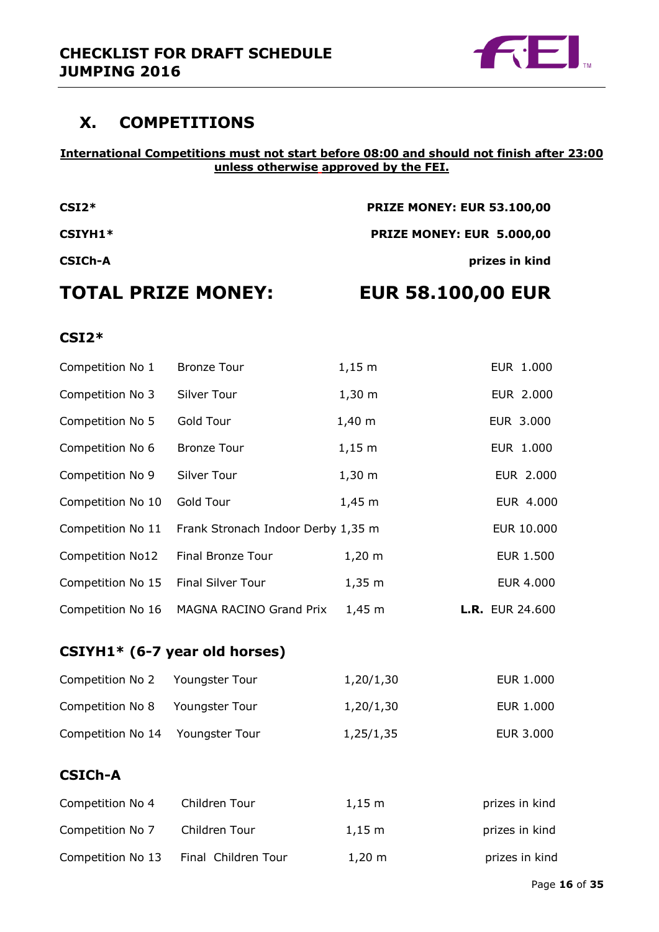

# <span id="page-15-0"></span>**X. COMPETITIONS**

## **International Competitions must not start before 08:00 and should not finish after 23:00 unless otherwise approved by the FEI.**

| <b>TOTAL PRIZE MONEY:</b> | <b>EUR 58.100,00 EUR</b>          |
|---------------------------|-----------------------------------|
| <b>CSICH-A</b>            | prizes in kind                    |
| CSIYH1*                   | PRIZE MONEY: EUR 5.000,00         |
| $CSI2*$                   | <b>PRIZE MONEY: EUR 53.100,00</b> |

**CSI2\***

# Competition No 1 Bronze Tour 1,15 m EUR 1.000 Competition No 3 Silver Tour 1,30 m EUR 2.000 Competition No 5 Gold Tour 1,40 m EUR 3.000 Competition No 6 Bronze Tour 1,15 m EUR 1.000 Competition No 9 Silver Tour 1,30 m EUR 2.000 Competition No 10 Gold Tour 1,45 m EUR 4.000 Competition No 11 Frank Stronach Indoor Derby 1,35 m EUR 10.000 Competition No12 Final Bronze Tour 1,20 m EUR 1.500 Competition No 15 Final Silver Tour 1,35 m EUR 4.000 Competition No 16 MAGNA RACINO Grand Prix 1,45 m **L.R.** EUR 24.600

## **CSIYH1\* (6-7 year old horses)**

| Competition No 2 Youngster Tour  |                | 1,20/1,30 | EUR 1.000 |
|----------------------------------|----------------|-----------|-----------|
| Competition No 8                 | Youngster Tour | 1,20/1,30 | EUR 1.000 |
| Competition No 14 Youngster Tour |                | 1,25/1,35 | EUR 3.000 |

# **CSICh-A**

| Competition No 4  | Children Tour       | $1.15 \;{\rm m}$     | prizes in kind |
|-------------------|---------------------|----------------------|----------------|
| Competition No 7  | Children Tour       | $1.15 \; \mathrm{m}$ | prizes in kind |
| Competition No 13 | Final Children Tour | $1,20 \; \mathrm{m}$ | prizes in kind |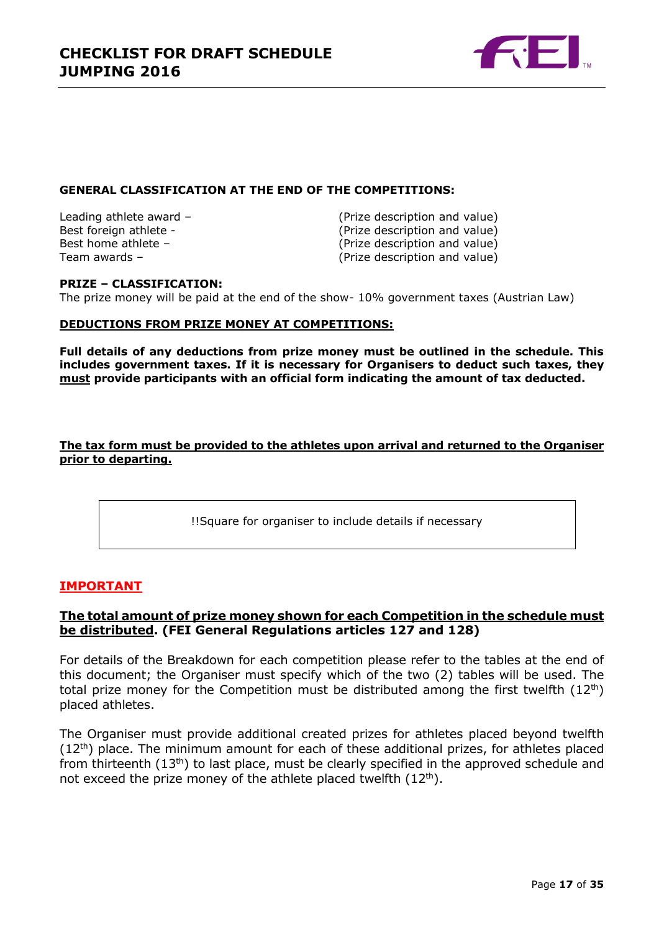

## **GENERAL CLASSIFICATION AT THE END OF THE COMPETITIONS:**

Leading athlete award – (Prize description and value) Best foreign athlete - (Prize description and value) Best home athlete – (Prize description and value) Team awards – (Prize description and value)

## **PRIZE – CLASSIFICATION:**

The prize money will be paid at the end of the show- 10% government taxes (Austrian Law)

## **DEDUCTIONS FROM PRIZE MONEY AT COMPETITIONS:**

**Full details of any deductions from prize money must be outlined in the schedule. This includes government taxes. If it is necessary for Organisers to deduct such taxes, they must provide participants with an official form indicating the amount of tax deducted.** 

## **The tax form must be provided to the athletes upon arrival and returned to the Organiser prior to departing.**

!!Square for organiser to include details if necessary

## **IMPORTANT**

## **The total amount of prize money shown for each Competition in the schedule must be distributed. (FEI General Regulations articles 127 and 128)**

For details of the Breakdown for each competition please refer to the tables at the end of this document; the Organiser must specify which of the two (2) tables will be used. The total prize money for the Competition must be distributed among the first twelfth  $(12^{th})$ placed athletes.

The Organiser must provide additional created prizes for athletes placed beyond twelfth (12<sup>th</sup>) place. The minimum amount for each of these additional prizes, for athletes placed from thirteenth (13<sup>th</sup>) to last place, must be clearly specified in the approved schedule and not exceed the prize money of the athlete placed twelfth  $(12<sup>th</sup>)$ .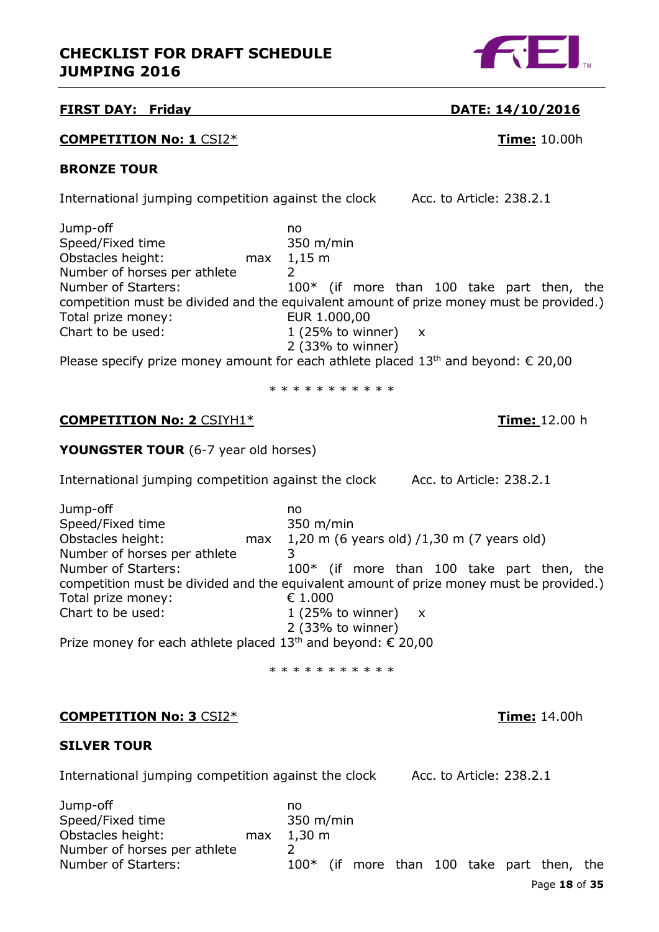

## **FIRST DAY: Friday DATE: 14/10/2016**

## **COMPETITION No: 1** CSI2\* **Time:** 10.00h

## **BRONZE TOUR**

International jumping competition against the clock Acc. to Article: 238.2.1

| Jump-off                     |     | no                                                                                                             |
|------------------------------|-----|----------------------------------------------------------------------------------------------------------------|
| Speed/Fixed time             |     | $350$ m/min                                                                                                    |
| Obstacles height:            | max | $1,15 \text{ m}$                                                                                               |
| Number of horses per athlete |     |                                                                                                                |
| Number of Starters:          |     | 100* (if more than 100 take part then, the                                                                     |
|                              |     | competition must be divided and the equivalent amount of prize money must be provided.)                        |
| Total prize money:           |     | EUR 1.000,00                                                                                                   |
| Chart to be used:            |     | 1 (25% to winner) $x$                                                                                          |
|                              |     | $2$ (33% to winner)                                                                                            |
|                              |     | the set of the contract of the contract of the contract of the contract of the contract of the contract of the |

Please specify prize money amount for each athlete placed  $13<sup>th</sup>$  and beyond:  $\epsilon$  20,00

\* \* \* \* \* \* \* \* \* \*

## **COMPETITION No: 2** CSIYH1\* **Time:** 12.00 h

## **YOUNGSTER TOUR** (6-7 year old horses)

International jumping competition against the clock Acc. to Article: 238.2.1

Jump-off no Speed/Fixed time 350 m/min Obstacles height: max 1,20 m (6 years old) /1,30 m (7 years old) Number of horses per athlete 3 Number of Starters: 100<sup>\*</sup> (if more than 100 take part then, the competition must be divided and the equivalent amount of prize money must be provided.) Total prize money: € 1.000 Chart to be used:  $1 (25\% \text{ to winner}) x$ 2 (33% to winner)

Prize money for each athlete placed  $13<sup>th</sup>$  and beyond:  $\epsilon$  20,00

\* \* \* \* \* \* \* \* \* \* \*

## **COMPETITION No: 3** CSI2\* **Time:** 14.00h

## **SILVER TOUR**

International jumping competition against the clock Acc. to Article: 238.2.1

Page **18** of **35** Jump-off no Speed/Fixed time 350 m/min Obstacles height: max 1,30 m Number of horses per athlete 2 Number of Starters: 100<sup>\*</sup> (if more than 100 take part then, the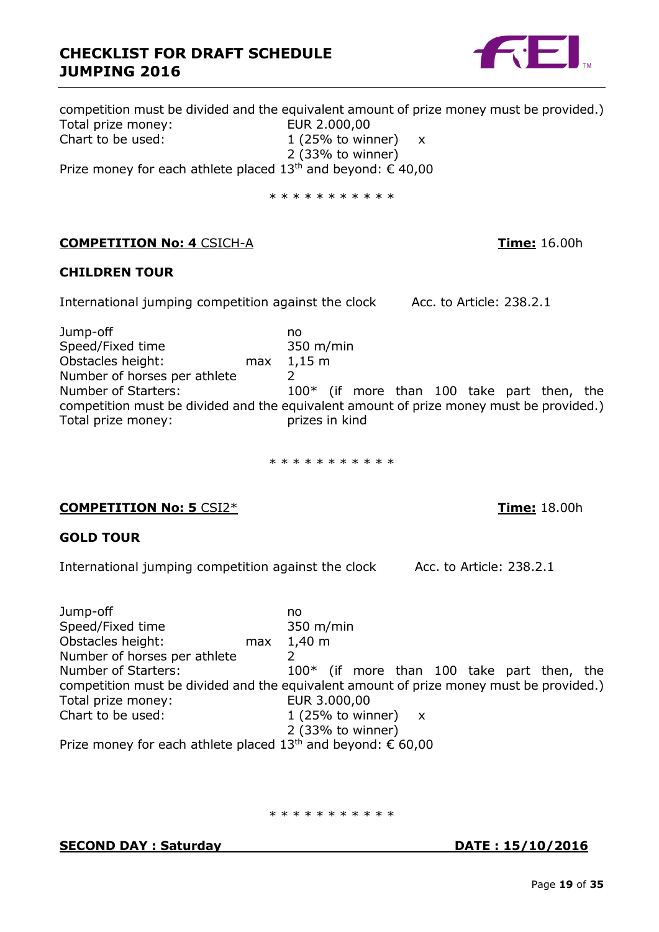

competition must be divided and the equivalent amount of prize money must be provided.) Total prize money:<br>
Chart to be used: 1 (25% to win 1 (25% to winner)  $x$ 2 (33% to winner) Prize money for each athlete placed  $13<sup>th</sup>$  and beyond:  $\epsilon$  40,00

\* \* \* \* \* \* \* \* \* \*

## **COMPETITION No: 4** CSICH-A **Time:** 16.00h

## **CHILDREN TOUR**

International jumping competition against the clock Acc. to Article: 238.2.1

Jump-off no Speed/Fixed time 350 m/min Obstacles height: max 1,15 m Number of horses per athlete 2 Number of Starters: 100<sup>\*</sup> (if more than 100 take part then, the competition must be divided and the equivalent amount of prize money must be provided.) Total prize money: prizes in kind

\* \* \* \* \* \* \* \* \* \* \*

## **COMPETITION No: 5** CSI2\* **Time:** 18.00h

## **GOLD TOUR**

International jumping competition against the clock Acc. to Article: 238.2.1

Jump-off no Speed/Fixed time 350 m/min Obstacles height: max 1,40 m Number of horses per athlete 2 Number of Starters: 100\* (if more than 100 take part then, the competition must be divided and the equivalent amount of prize money must be provided.) Total prize money: EUR 3.000,00 Chart to be used:  $1 (25\% \text{ to winner}) x$ 2 (33% to winner) Prize money for each athlete placed  $13<sup>th</sup>$  and beyond:  $\epsilon$  60,00

\* \* \* \* \* \* \* \* \* \* \*

**SECOND DAY : Saturday DATE : 15/10/2016**

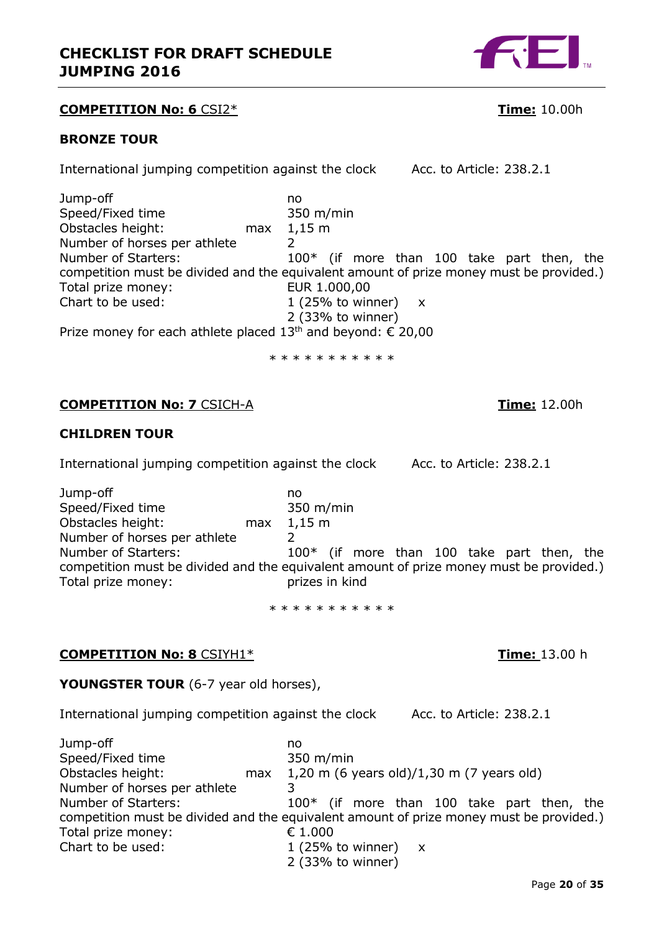

## **COMPETITION No: 6** CSI2\* **Time:** 10.00h

## **BRONZE TOUR**

International jumping competition against the clock Acc. to Article: 238.2.1

Jump-off<br>Speed/Fixed time no more contained by the state of the Speed/Fixed time Speed/Fixed time Obstacles height: max 1,15 m Number of horses per athlete 2 Number of Starters: 100<sup>\*</sup> (if more than 100 take part then, the competition must be divided and the equivalent amount of prize money must be provided.) Total prize money: EUR 1.000,00 Chart to be used:  $1 (25\% \text{ to winner}) x$ 2 (33% to winner)

Prize money for each athlete placed  $13<sup>th</sup>$  and beyond:  $\epsilon$  20,00

\* \* \* \* \* \* \* \* \* \* \*

## **COMPETITION No: 7** CSICH-A **Time:** 12.00h

## **CHILDREN TOUR**

International jumping competition against the clock Acc. to Article: 238.2.1

Jump-off no Speed/Fixed time 350 m/min Obstacles height: max 1,15 m Number of horses per athlete 2 Number of Starters: 100<sup>\*</sup> (if more than 100 take part then, the competition must be divided and the equivalent amount of prize money must be provided.) Total prize money: Total prizes in kind

\* \* \* \* \* \* \* \* \* \* \*

## **COMPETITION No: 8** CSIYH1\* **Time:** 13.00 h

## **YOUNGSTER TOUR** (6-7 year old horses),

International jumping competition against the clock Acc. to Article: 238.2.1

Jump-off no Speed/Fixed time 350 m/min Obstacles height: max 1,20 m (6 years old)/1,30 m (7 years old) Number of horses per athlete 3 Number of Starters: 100<sup>\*</sup> (if more than 100 take part then, the competition must be divided and the equivalent amount of prize money must be provided.) Total prize money: € 1.000 Chart to be used:  $1 (25\% \text{ to winner}) x$ 2 (33% to winner)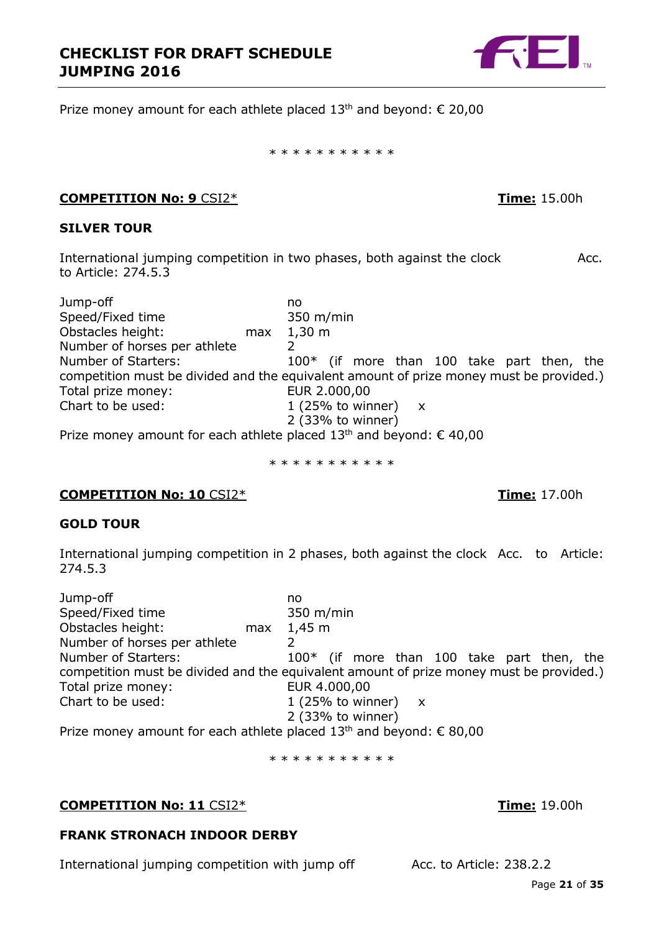

Prize money amount for each athlete placed  $13<sup>th</sup>$  and beyond:  $\epsilon$  20,00

\* \* \* \* \* \* \* \* \* \* \*

## **COMPETITION No: 9** CSI2\* **Time:** 15.00h

## **SILVER TOUR**

International jumping competition in two phases, both against the clock Acc. to Article: 274.5.3

Jump-off no Speed/Fixed time 350 m/min Obstacles height: max 1,30 m Number of horses per athlete 2<br>Number of Starters: 1  $100*$  (if more than 100 take part then, the competition must be divided and the equivalent amount of prize money must be provided.) Total prize money: EUR 2.000,00 Chart to be used:  $1 (25\% \text{ to winner}) x$ 2 (33% to winner)

Prize money amount for each athlete placed 13<sup>th</sup> and beyond: € 40,00

\* \* \* \* \* \* \* \* \* \* \*

## **COMPETITION No: 10** CSI2\* **Time:** 17.00h

## **GOLD TOUR**

International jumping competition in 2 phases, both against the clock Acc. to Article: 274.5.3

Jump-off no Speed/Fixed time 350 m/min Obstacles height: max 1,45 m Number of horses per athlete 2 Number of Starters: 100\* (if more than 100 take part then, the competition must be divided and the equivalent amount of prize money must be provided.) Total prize money: EUR 4.000,00 Chart to be used:  $1 (25\% \text{ to winner}) x$ 2 (33% to winner) Prize money amount for each athlete placed 13<sup>th</sup> and beyond: € 80,00

\* \* \* \* \* \* \* \* \* \*

## **COMPETITION No: 11** CSI2\* **Time:** 19.00h

## **FRANK STRONACH INDOOR DERBY**

International jumping competition with jump off Acc. to Article: 238.2.2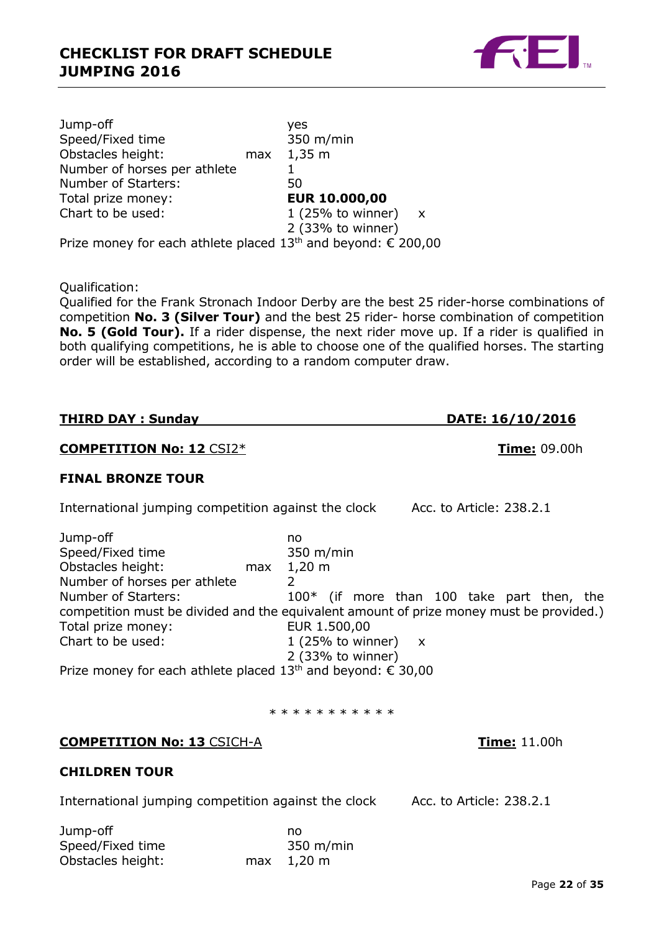

Jump-off yes Speed/Fixed time 350 m/min Obstacles height: max 1,35 m Number of horses per athlete 1 Number of Starters: 50 Total prize money:<br>
Chart to be used: The Chart to be used: The Chart to be used: 1 (25% to winner)  $x$ 2 (33% to winner) Prize money for each athlete placed  $13<sup>th</sup>$  and beyond: € 200,00

Qualification:

Qualified for the Frank Stronach Indoor Derby are the best 25 rider-horse combinations of competition **No. 3 (Silver Tour)** and the best 25 rider- horse combination of competition **No. 5 (Gold Tour).** If a rider dispense, the next rider move up. If a rider is qualified in both qualifying competitions, he is able to choose one of the qualified horses. The starting order will be established, according to a random computer draw.

| <b>THIRD DAY: Sunday</b> | DATE: 16/10/2016 |  |
|--------------------------|------------------|--|

## **COMPETITION No: 12** CSI2\* **Time:** 09.00h

## **FINAL BRONZE TOUR**

International jumping competition against the clock Acc. to Article: 238.2.1

| Jump-off                                                                                |     | no                 |                       |  |  |                                              |  |
|-----------------------------------------------------------------------------------------|-----|--------------------|-----------------------|--|--|----------------------------------------------|--|
| Speed/Fixed time                                                                        |     | 350 m/min          |                       |  |  |                                              |  |
| Obstacles height:                                                                       | max | $1,20 \; \text{m}$ |                       |  |  |                                              |  |
| Number of horses per athlete                                                            |     |                    |                       |  |  |                                              |  |
| Number of Starters:                                                                     |     |                    |                       |  |  | $100*$ (if more than 100 take part then, the |  |
| competition must be divided and the equivalent amount of prize money must be provided.) |     |                    |                       |  |  |                                              |  |
| Total prize money:                                                                      |     | EUR 1.500,00       |                       |  |  |                                              |  |
| Chart to be used:                                                                       |     |                    | 1 (25% to winner) $x$ |  |  |                                              |  |
|                                                                                         |     |                    | 2 (33% to winner)     |  |  |                                              |  |
| Prize money for each athlete placed 13 <sup>th</sup> and beyond: € 30,00                |     |                    |                       |  |  |                                              |  |

#### \* \* \* \* \* \* \* \* \* \*

## **COMPETITION No: 13** CSICH-A **Time:** 11.00h

## **CHILDREN TOUR**

International jumping competition against the clock Acc. to Article: 238.2.1

| Jump-off          | no         |
|-------------------|------------|
| Speed/Fixed time  | 350 m/min  |
| Obstacles height: | max 1,20 m |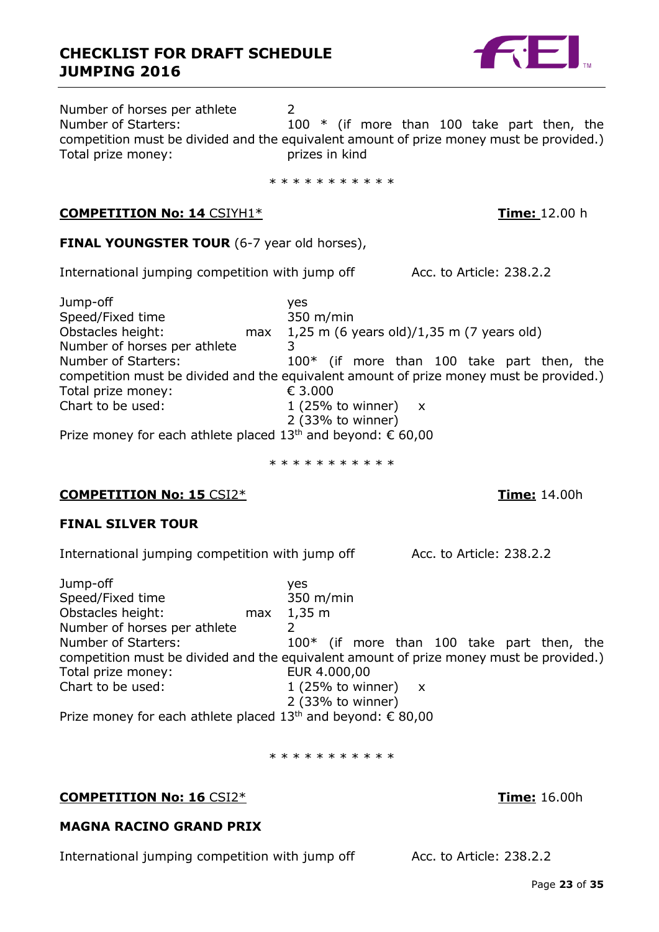Number of horses per athlete 2 Number of Starters: 100 \* (if more than 100 take part then, the competition must be divided and the equivalent amount of prize money must be provided.) Total prize money: prizes in kind

\* \* \* \* \* \* \* \* \* \* \*

## **COMPETITION No: 14** CSIYH1\* **Time:** 12.00 h

## **FINAL YOUNGSTER TOUR** (6-7 year old horses),

International jumping competition with jump off Acc. to Article: 238.2.2

Jump-off yes Speed/Fixed time 350 m/min<br>Obstacles height: max 1,25 m (6) max  $1,25$  m (6 years old)/1,35 m (7 years old) Number of horses per athlete 3 Number of Starters: 100<sup>\*</sup> (if more than 100 take part then, the competition must be divided and the equivalent amount of prize money must be provided.) Total prize money: **€ 3.000** Chart to be used:  $1 (25\% \text{ to winner}) x$ 2 (33% to winner) Prize money for each athlete placed  $13<sup>th</sup>$  and beyond:  $\epsilon$  60,00

\* \* \* \* \* \* \* \* \* \* \*

## **COMPETITION No: 15** CSI2\* **Time:** 14.00h

## **FINAL SILVER TOUR**

International jumping competition with jump off Acc. to Article: 238.2.2

| Jump-off                                                                                |     | ves                   |  |  |  |                                              |  |
|-----------------------------------------------------------------------------------------|-----|-----------------------|--|--|--|----------------------------------------------|--|
| Speed/Fixed time                                                                        |     | 350 m/min             |  |  |  |                                              |  |
| Obstacles height:                                                                       | max | $1,35 \text{ m}$      |  |  |  |                                              |  |
| Number of horses per athlete                                                            |     |                       |  |  |  |                                              |  |
| Number of Starters:                                                                     |     |                       |  |  |  | $100*$ (if more than 100 take part then, the |  |
| competition must be divided and the equivalent amount of prize money must be provided.) |     |                       |  |  |  |                                              |  |
| Total prize money:                                                                      |     | EUR 4.000,00          |  |  |  |                                              |  |
| Chart to be used:                                                                       |     | 1 (25% to winner) $x$ |  |  |  |                                              |  |
|                                                                                         |     | 2 (33% to winner)     |  |  |  |                                              |  |
| Prize money for each athlete placed 13 <sup>th</sup> and beyond: € 80,00                |     |                       |  |  |  |                                              |  |

\* \* \* \* \* \* \* \* \* \* \*

## **COMPETITION No: 16** CSI2\* **Time:** 16.00h

## **MAGNA RACINO GRAND PRIX**

International jumping competition with jump off Acc. to Article: 238.2.2



Page **23** of **35**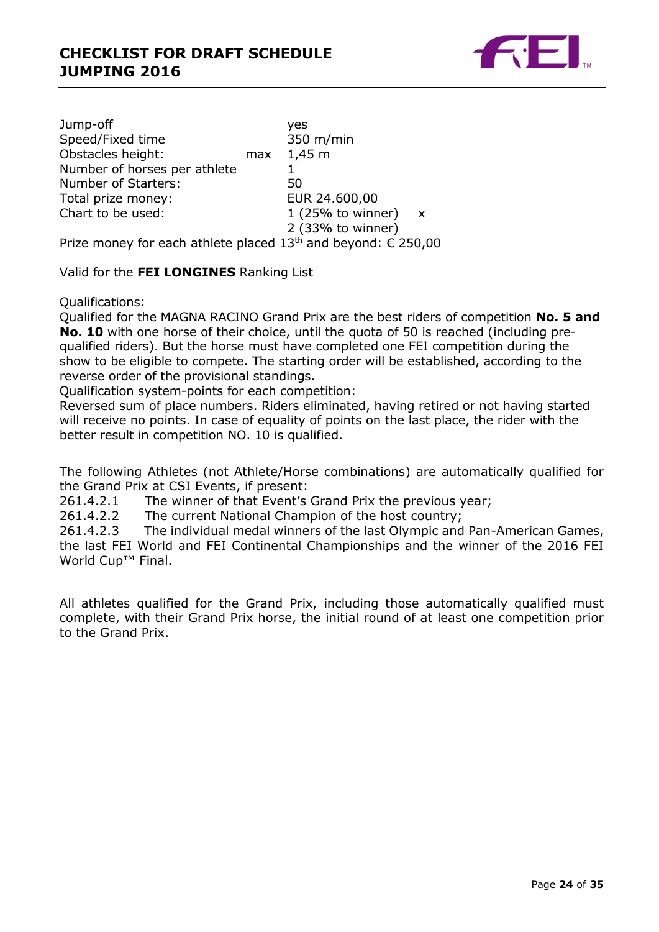

Jump-off yes Speed/Fixed time Obstacles height: max 1,45 m Number of horses per athlete 1 Number of Starters: 50 Total prize money:<br>
Chart to be used: 
The absolution of the use of the use of the set of the 1 (25% to winn 1 (25% to winner)  $x$ 2 (33% to winner) Prize money for each athlete placed  $13<sup>th</sup>$  and beyond:  $\epsilon$  250,00

Valid for the **FEI LONGINES** Ranking List

Qualifications:

Qualified for the MAGNA RACINO Grand Prix are the best riders of competition **No. 5 and No. 10** with one horse of their choice, until the quota of 50 is reached (including prequalified riders). But the horse must have completed one FEI competition during the show to be eligible to compete. The starting order will be established, according to the reverse order of the provisional standings.

Qualification system-points for each competition:

Reversed sum of place numbers. Riders eliminated, having retired or not having started will receive no points. In case of equality of points on the last place, the rider with the better result in competition NO. 10 is qualified.

The following Athletes (not Athlete/Horse combinations) are automatically qualified for the Grand Prix at CSI Events, if present:

261.4.2.1 The winner of that Event's Grand Prix the previous year;

261.4.2.2 The current National Champion of the host country;<br>261.4.2.3 The individual medal winners of the last Olympic and The individual medal winners of the last Olympic and Pan-American Games, the last FEI World and FEI Continental Championships and the winner of the 2016 FEI World Cup<sup>™</sup> Final.

All athletes qualified for the Grand Prix, including those automatically qualified must complete, with their Grand Prix horse, the initial round of at least one competition prior to the Grand Prix.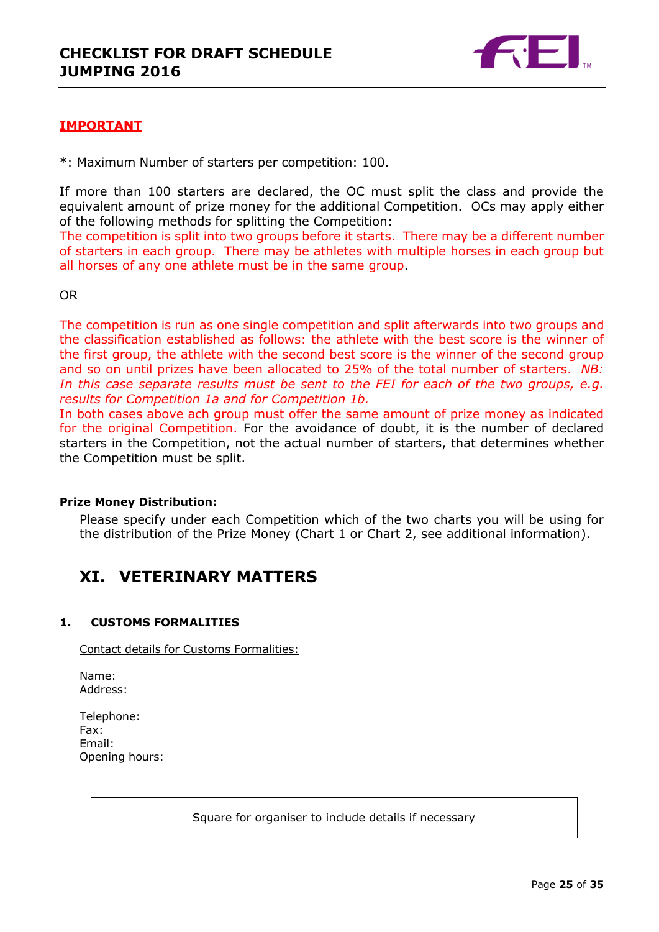

## **IMPORTANT**

\*: Maximum Number of starters per competition: 100.

If more than 100 starters are declared, the OC must split the class and provide the equivalent amount of prize money for the additional Competition. OCs may apply either of the following methods for splitting the Competition:

The competition is split into two groups before it starts. There may be a different number of starters in each group. There may be athletes with multiple horses in each group but all horses of any one athlete must be in the same group.

OR

The competition is run as one single competition and split afterwards into two groups and the classification established as follows: the athlete with the best score is the winner of the first group, the athlete with the second best score is the winner of the second group and so on until prizes have been allocated to 25% of the total number of starters. *NB:*  In this case separate results must be sent to the FEI for each of the two groups, e.g. *results for Competition 1a and for Competition 1b.*

In both cases above ach group must offer the same amount of prize money as indicated for the original Competition. For the avoidance of doubt, it is the number of declared starters in the Competition, not the actual number of starters, that determines whether the Competition must be split.

## **Prize Money Distribution:**

Please specify under each Competition which of the two charts you will be using for the distribution of the Prize Money (Chart 1 or Chart 2, see additional information).

# <span id="page-24-0"></span>**XI. VETERINARY MATTERS**

## <span id="page-24-1"></span>**1. CUSTOMS FORMALITIES**

Contact details for Customs Formalities:

Name: Address:

| Telephone:     |
|----------------|
| Fax:           |
| Email:         |
| Opening hours: |

Square for organiser to include details if necessary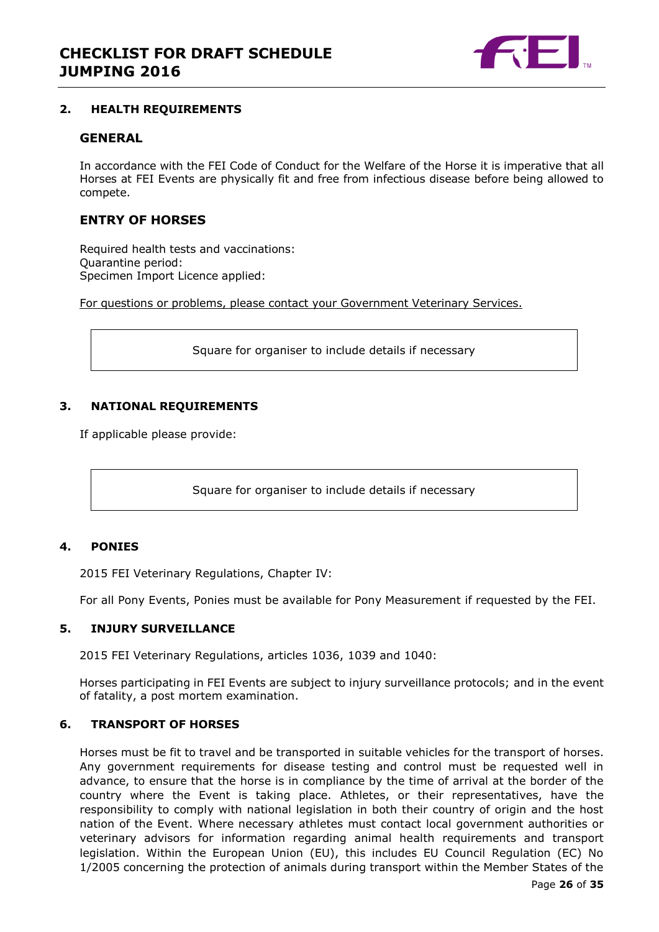

## <span id="page-25-0"></span>**2. HEALTH REQUIREMENTS**

## **GENERAL**

In accordance with the FEI Code of Conduct for the Welfare of the Horse it is imperative that all Horses at FEI Events are physically fit and free from infectious disease before being allowed to compete.

## **ENTRY OF HORSES**

Required health tests and vaccinations: Quarantine period: Specimen Import Licence applied:

For questions or problems, please contact your Government Veterinary Services.

Square for organiser to include details if necessary

## <span id="page-25-1"></span>**3. NATIONAL REQUIREMENTS**

If applicable please provide:

Square for organiser to include details if necessary

## <span id="page-25-2"></span>**4. PONIES**

2015 FEI Veterinary Regulations, Chapter IV:

For all Pony Events, Ponies must be available for Pony Measurement if requested by the FEI.

#### <span id="page-25-3"></span>**5. INJURY SURVEILLANCE**

2015 FEI Veterinary Regulations, articles 1036, 1039 and 1040:

Horses participating in FEI Events are subject to injury surveillance protocols; and in the event of fatality, a post mortem examination.

## <span id="page-25-4"></span>**6. TRANSPORT OF HORSES**

Horses must be fit to travel and be transported in suitable vehicles for the transport of horses. Any government requirements for disease testing and control must be requested well in advance, to ensure that the horse is in compliance by the time of arrival at the border of the country where the Event is taking place. Athletes, or their representatives, have the responsibility to comply with national legislation in both their country of origin and the host nation of the Event. Where necessary athletes must contact local government authorities or veterinary advisors for information regarding animal health requirements and transport legislation. Within the European Union (EU), this includes EU Council Regulation (EC) No 1/2005 concerning the protection of animals during transport within the Member States of the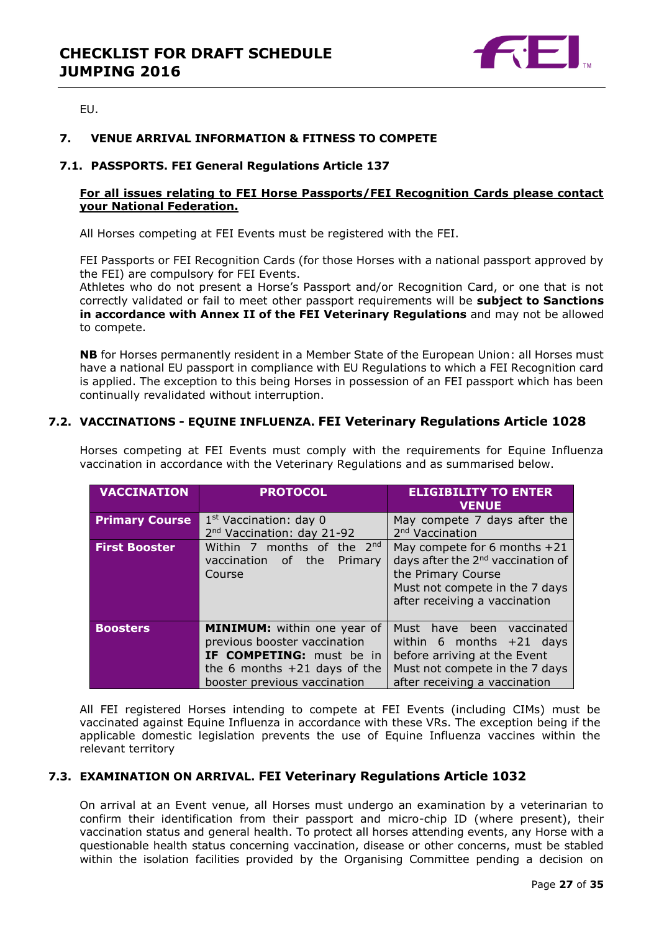

EU.

## <span id="page-26-0"></span>**7. VENUE ARRIVAL INFORMATION & FITNESS TO COMPETE**

## **7.1. PASSPORTS. FEI General Regulations Article 137**

## **For all issues relating to FEI Horse Passports/FEI Recognition Cards please contact your National Federation.**

All Horses competing at FEI Events must be registered with the FEI.

FEI Passports or FEI Recognition Cards (for those Horses with a national passport approved by the FEI) are compulsory for FEI Events.

Athletes who do not present a Horse's Passport and/or Recognition Card, or one that is not correctly validated or fail to meet other passport requirements will be **subject to Sanctions in accordance with Annex II of the FEI Veterinary Regulations** and may not be allowed to compete.

**NB** for Horses permanently resident in a Member State of the European Union: all Horses must have a national EU passport in compliance with EU Regulations to which a FEI Recognition card is applied. The exception to this being Horses in possession of an FEI passport which has been continually revalidated without interruption.

## **7.2. VACCINATIONS - EQUINE INFLUENZA. FEI Veterinary Regulations Article 1028**

| <b>VACCINATION</b>    | <b>PROTOCOL</b>                                                                                                                                                         | <b>ELIGIBILITY TO ENTER</b><br><b>VENUE</b>                                                                                                                              |  |  |  |
|-----------------------|-------------------------------------------------------------------------------------------------------------------------------------------------------------------------|--------------------------------------------------------------------------------------------------------------------------------------------------------------------------|--|--|--|
| <b>Primary Course</b> | $1st$ Vaccination: day 0                                                                                                                                                | May compete 7 days after the                                                                                                                                             |  |  |  |
|                       | 2 <sup>nd</sup> Vaccination: day 21-92                                                                                                                                  | 2 <sup>nd</sup> Vaccination                                                                                                                                              |  |  |  |
| <b>First Booster</b>  | Within 7 months of the 2nd<br>vaccination of the<br>Primary<br>Course                                                                                                   | May compete for 6 months $+21$<br>days after the 2 <sup>nd</sup> vaccination of<br>the Primary Course<br>Must not compete in the 7 days<br>after receiving a vaccination |  |  |  |
| <b>Boosters</b>       | <b>MINIMUM:</b> within one year of<br>previous booster vaccination<br><b>IF COMPETING:</b> must be in<br>the 6 months $+21$ days of the<br>booster previous vaccination | have been<br>Must<br>vaccinated<br>within 6 months $+21$ days<br>before arriving at the Event<br>Must not compete in the 7 days<br>after receiving a vaccination         |  |  |  |

Horses competing at FEI Events must comply with the requirements for Equine Influenza vaccination in accordance with the Veterinary Regulations and as summarised below.

All FEI registered Horses intending to compete at FEI Events (including CIMs) must be vaccinated against Equine Influenza in accordance with these VRs. The exception being if the applicable domestic legislation prevents the use of Equine Influenza vaccines within the relevant territory

## **7.3. EXAMINATION ON ARRIVAL. FEI Veterinary Regulations Article 1032**

On arrival at an Event venue, all Horses must undergo an examination by a veterinarian to confirm their identification from their passport and micro-chip ID (where present), their vaccination status and general health. To protect all horses attending events, any Horse with a questionable health status concerning vaccination, disease or other concerns, must be stabled within the isolation facilities provided by the Organising Committee pending a decision on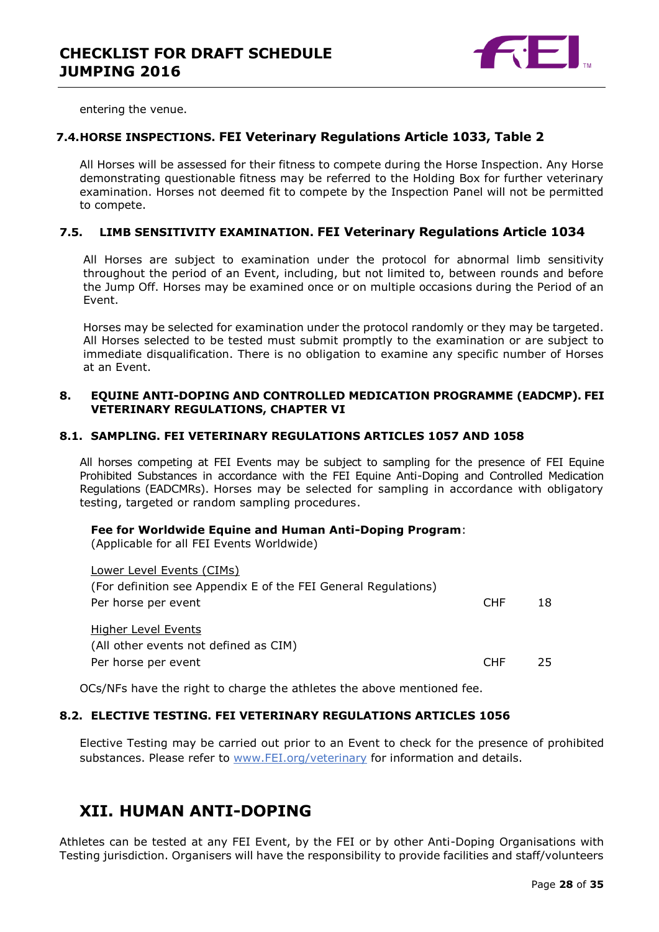

entering the venue.

## **7.4.HORSE INSPECTIONS. FEI Veterinary Regulations Article 1033, Table 2**

All Horses will be assessed for their fitness to compete during the Horse Inspection. Any Horse demonstrating questionable fitness may be referred to the Holding Box for further veterinary examination. Horses not deemed fit to compete by the Inspection Panel will not be permitted to compete.

## **7.5. LIMB SENSITIVITY EXAMINATION. FEI Veterinary Regulations Article 1034**

All Horses are subject to examination under the protocol for abnormal limb sensitivity throughout the period of an Event, including, but not limited to, between rounds and before the Jump Off. Horses may be examined once or on multiple occasions during the Period of an Event.

Horses may be selected for examination under the protocol randomly or they may be targeted. All Horses selected to be tested must submit promptly to the examination or are subject to immediate disqualification. There is no obligation to examine any specific number of Horses at an Event.

#### <span id="page-27-0"></span>**8. EQUINE ANTI-DOPING AND CONTROLLED MEDICATION PROGRAMME (EADCMP). FEI VETERINARY REGULATIONS, CHAPTER VI**

#### **8.1. SAMPLING. FEI VETERINARY REGULATIONS ARTICLES 1057 AND 1058**

All horses competing at FEI Events may be subject to sampling for the presence of FEI Equine Prohibited Substances in accordance with the FEI Equine Anti-Doping and Controlled Medication Regulations (EADCMRs). Horses may be selected for sampling in accordance with obligatory testing, targeted or random sampling procedures.

#### **Fee for Worldwide Equine and Human Anti-Doping Program**:

(Applicable for all FEI Events Worldwide)

| Lower Level Events (CIMs)                                      |            |    |
|----------------------------------------------------------------|------------|----|
| (For definition see Appendix E of the FEI General Regulations) |            |    |
| Per horse per event                                            | <b>CHF</b> | 18 |
|                                                                |            |    |
| Higher Level Events                                            |            |    |
| (All other events not defined as CIM)                          |            |    |
| Per horse per event                                            | CHE.       | 25 |
|                                                                |            |    |

OCs/NFs have the right to charge the athletes the above mentioned fee.

## **8.2. ELECTIVE TESTING. FEI VETERINARY REGULATIONS ARTICLES 1056**

Elective Testing may be carried out prior to an Event to check for the presence of prohibited substances. Please refer to [www.FEI.org/veterinary](http://www.fei.org/veterinary) for information and details.

# <span id="page-27-1"></span>**XII. HUMAN ANTI-DOPING**

Athletes can be tested at any FEI Event, by the FEI or by other Anti-Doping Organisations with Testing jurisdiction. Organisers will have the responsibility to provide facilities and staff/volunteers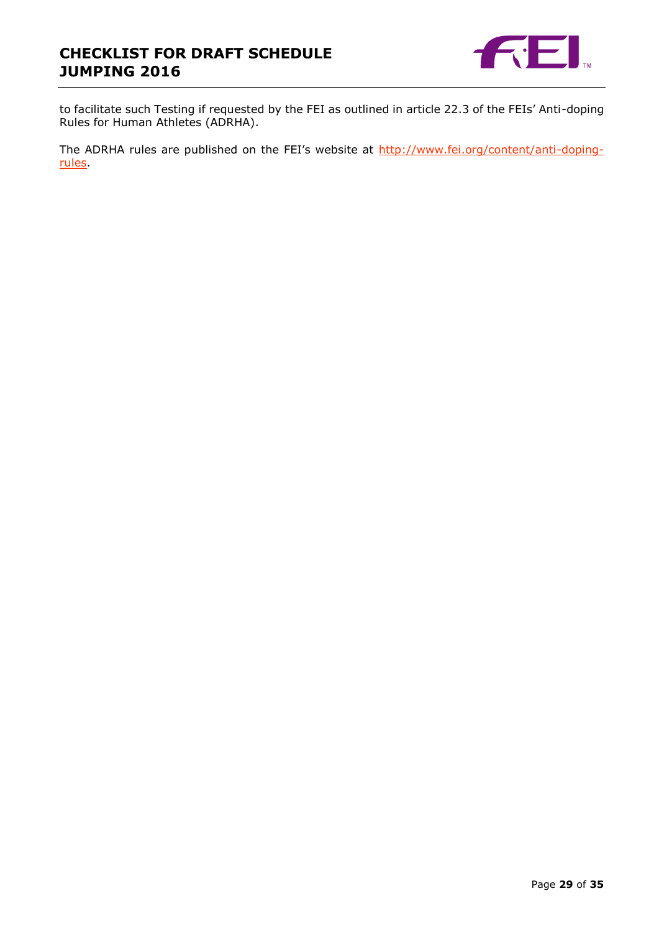

to facilitate such Testing if requested by the FEI as outlined in article 22.3 of the FEIs' Anti-doping Rules for Human Athletes (ADRHA).

The ADRHA rules are published on the FEI's website at [http://www.fei.org/content/anti-doping](http://www.fei.org/content/anti-doping-rules)[rules.](http://www.fei.org/content/anti-doping-rules)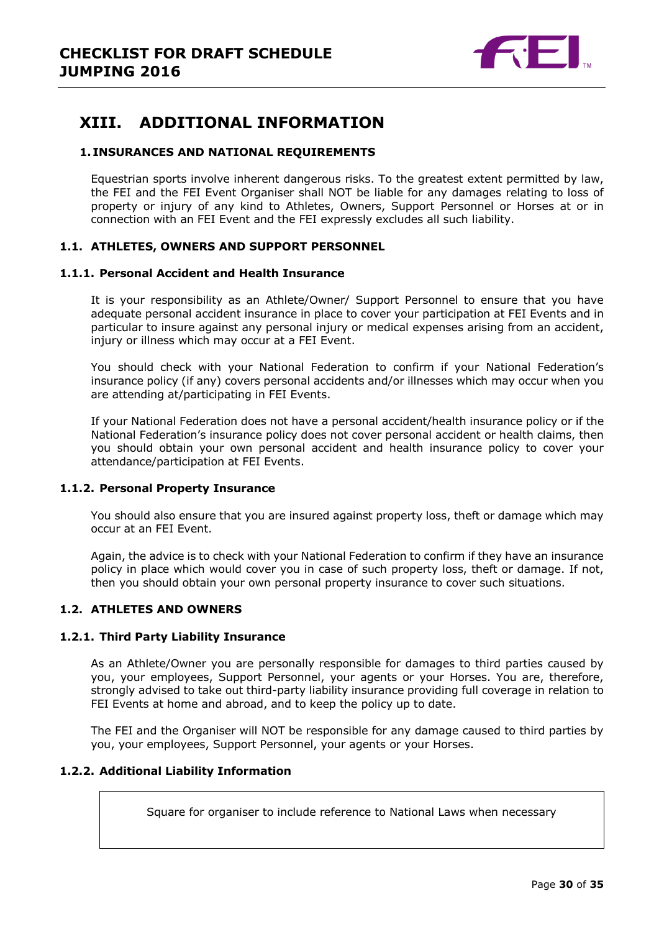

# <span id="page-29-0"></span>**XIII. ADDITIONAL INFORMATION**

## <span id="page-29-1"></span>**1. INSURANCES AND NATIONAL REQUIREMENTS**

Equestrian sports involve inherent dangerous risks. To the greatest extent permitted by law, the FEI and the FEI Event Organiser shall NOT be liable for any damages relating to loss of property or injury of any kind to Athletes, Owners, Support Personnel or Horses at or in connection with an FEI Event and the FEI expressly excludes all such liability.

## **1.1. ATHLETES, OWNERS AND SUPPORT PERSONNEL**

#### **1.1.1. Personal Accident and Health Insurance**

It is your responsibility as an Athlete/Owner/ Support Personnel to ensure that you have adequate personal accident insurance in place to cover your participation at FEI Events and in particular to insure against any personal injury or medical expenses arising from an accident, injury or illness which may occur at a FEI Event.

You should check with your National Federation to confirm if your National Federation's insurance policy (if any) covers personal accidents and/or illnesses which may occur when you are attending at/participating in FEI Events.

If your National Federation does not have a personal accident/health insurance policy or if the National Federation's insurance policy does not cover personal accident or health claims, then you should obtain your own personal accident and health insurance policy to cover your attendance/participation at FEI Events.

## **1.1.2. Personal Property Insurance**

You should also ensure that you are insured against property loss, theft or damage which may occur at an FEI Event.

Again, the advice is to check with your National Federation to confirm if they have an insurance policy in place which would cover you in case of such property loss, theft or damage. If not, then you should obtain your own personal property insurance to cover such situations.

## **1.2. ATHLETES AND OWNERS**

#### **1.2.1. Third Party Liability Insurance**

As an Athlete/Owner you are personally responsible for damages to third parties caused by you, your employees, Support Personnel, your agents or your Horses. You are, therefore, strongly advised to take out third-party liability insurance providing full coverage in relation to FEI Events at home and abroad, and to keep the policy up to date.

The FEI and the Organiser will NOT be responsible for any damage caused to third parties by you, your employees, Support Personnel, your agents or your Horses.

## **1.2.2. Additional Liability Information**

Square for organiser to include reference to National Laws when necessary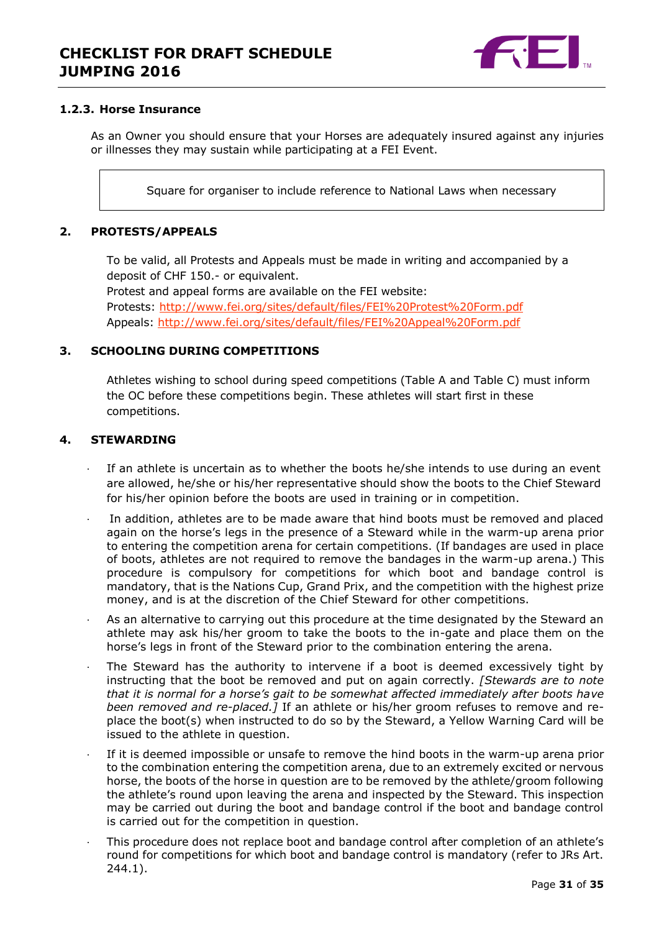

## **1.2.3. Horse Insurance**

As an Owner you should ensure that your Horses are adequately insured against any injuries or illnesses they may sustain while participating at a FEI Event.

Square for organiser to include reference to National Laws when necessary

## <span id="page-30-0"></span>**2. PROTESTS/APPEALS**

To be valid, all Protests and Appeals must be made in writing and accompanied by a deposit of CHF 150.- or equivalent.

Protest and appeal forms are available on the FEI website: Protests:<http://www.fei.org/sites/default/files/FEI%20Protest%20Form.pdf> Appeals:<http://www.fei.org/sites/default/files/FEI%20Appeal%20Form.pdf>

## <span id="page-30-1"></span>**3. SCHOOLING DURING COMPETITIONS**

Athletes wishing to school during speed competitions (Table A and Table C) must inform the OC before these competitions begin. These athletes will start first in these competitions.

## <span id="page-30-2"></span>**4. STEWARDING**

- If an athlete is uncertain as to whether the boots he/she intends to use during an event are allowed, he/she or his/her representative should show the boots to the Chief Steward for his/her opinion before the boots are used in training or in competition.
- In addition, athletes are to be made aware that hind boots must be removed and placed again on the horse's legs in the presence of a Steward while in the warm-up arena prior to entering the competition arena for certain competitions. (If bandages are used in place of boots, athletes are not required to remove the bandages in the warm-up arena.) This procedure is compulsory for competitions for which boot and bandage control is mandatory, that is the Nations Cup, Grand Prix, and the competition with the highest prize money, and is at the discretion of the Chief Steward for other competitions.
- As an alternative to carrying out this procedure at the time designated by the Steward an athlete may ask his/her groom to take the boots to the in-gate and place them on the horse's legs in front of the Steward prior to the combination entering the arena.
- The Steward has the authority to intervene if a boot is deemed excessively tight by instructing that the boot be removed and put on again correctly. *[Stewards are to note that it is normal for a horse's gait to be somewhat affected immediately after boots have been removed and re-placed.]* If an athlete or his/her groom refuses to remove and replace the boot(s) when instructed to do so by the Steward, a Yellow Warning Card will be issued to the athlete in question.
- If it is deemed impossible or unsafe to remove the hind boots in the warm-up arena prior to the combination entering the competition arena, due to an extremely excited or nervous horse, the boots of the horse in question are to be removed by the athlete/groom following the athlete's round upon leaving the arena and inspected by the Steward. This inspection may be carried out during the boot and bandage control if the boot and bandage control is carried out for the competition in question.
- This procedure does not replace boot and bandage control after completion of an athlete's round for competitions for which boot and bandage control is mandatory (refer to JRs Art. 244.1).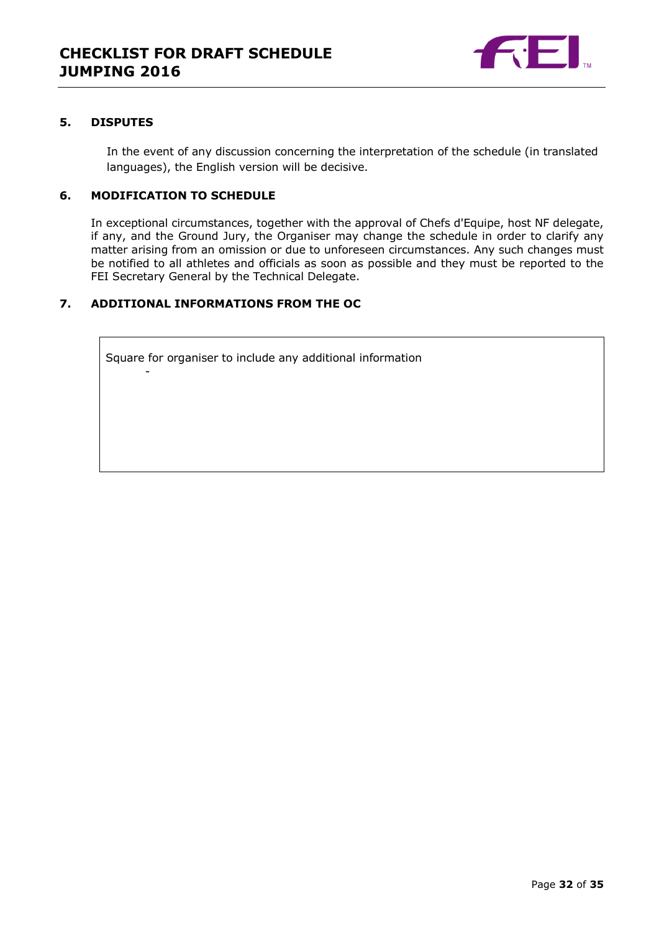

## <span id="page-31-0"></span>**5. DISPUTES**

In the event of any discussion concerning the interpretation of the schedule (in translated languages), the English version will be decisive.

## <span id="page-31-1"></span>**6. MODIFICATION TO SCHEDULE**

-

In exceptional circumstances, together with the approval of Chefs d'Equipe, host NF delegate, if any, and the Ground Jury, the Organiser may change the schedule in order to clarify any matter arising from an omission or due to unforeseen circumstances. Any such changes must be notified to all athletes and officials as soon as possible and they must be reported to the FEI Secretary General by the Technical Delegate.

## <span id="page-31-2"></span>**7. ADDITIONAL INFORMATIONS FROM THE OC**

Square for organiser to include any additional information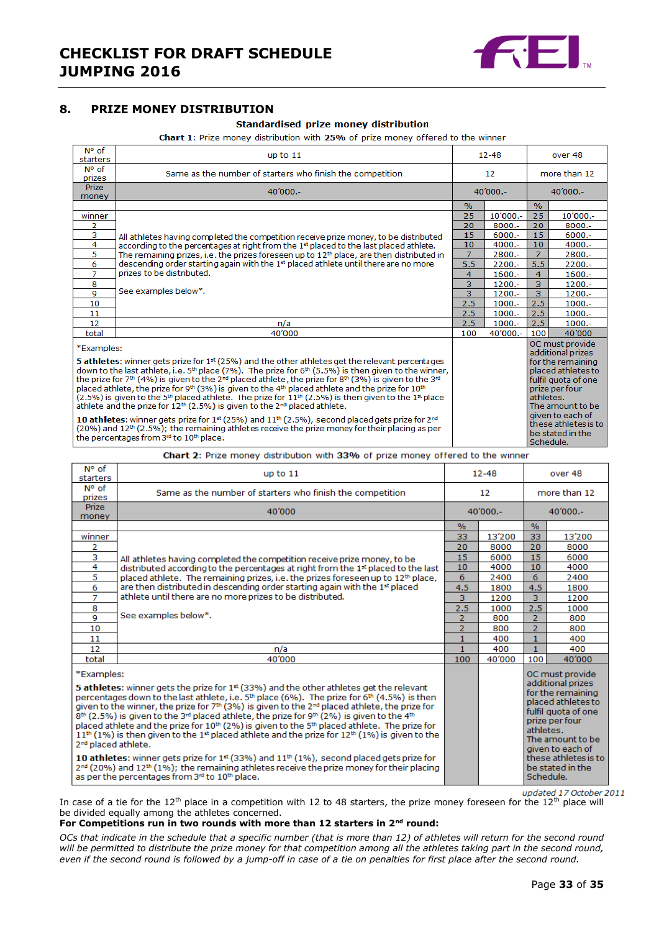

## <span id="page-32-0"></span>**8. PRIZE MONEY DISTRIBUTION**

#### Standardised prize money distribution

Chart 1: Prize money distribution with 25% of prize money offered to the winner

| N° of<br>starters                                                                                                                                                                                                                                                                                                                                                                                                                                                                                                                                                                                                                                                                                                                                                                                                                                                                                                                                                    | $12 - 48$<br>up to $11$                                                                    |                |           | over 48                                                                                                                                                                                                                                |           |  |
|----------------------------------------------------------------------------------------------------------------------------------------------------------------------------------------------------------------------------------------------------------------------------------------------------------------------------------------------------------------------------------------------------------------------------------------------------------------------------------------------------------------------------------------------------------------------------------------------------------------------------------------------------------------------------------------------------------------------------------------------------------------------------------------------------------------------------------------------------------------------------------------------------------------------------------------------------------------------|--------------------------------------------------------------------------------------------|----------------|-----------|----------------------------------------------------------------------------------------------------------------------------------------------------------------------------------------------------------------------------------------|-----------|--|
| $N^{\circ}$ of<br>prizes                                                                                                                                                                                                                                                                                                                                                                                                                                                                                                                                                                                                                                                                                                                                                                                                                                                                                                                                             | Same as the number of starters who finish the competition                                  | 12             |           | more than 12                                                                                                                                                                                                                           |           |  |
| <b>Prize</b><br>money                                                                                                                                                                                                                                                                                                                                                                                                                                                                                                                                                                                                                                                                                                                                                                                                                                                                                                                                                | 40'000 .-                                                                                  | $40'000 -$     |           | $40'000 -$                                                                                                                                                                                                                             |           |  |
|                                                                                                                                                                                                                                                                                                                                                                                                                                                                                                                                                                                                                                                                                                                                                                                                                                                                                                                                                                      |                                                                                            | $\%$           |           | $\%$                                                                                                                                                                                                                                   |           |  |
| winner                                                                                                                                                                                                                                                                                                                                                                                                                                                                                                                                                                                                                                                                                                                                                                                                                                                                                                                                                               |                                                                                            | 25             | 10'000 .- | 25                                                                                                                                                                                                                                     | 10'000 .- |  |
| 2                                                                                                                                                                                                                                                                                                                                                                                                                                                                                                                                                                                                                                                                                                                                                                                                                                                                                                                                                                    |                                                                                            | 20             | $8000 -$  | 20                                                                                                                                                                                                                                     | $8000 -$  |  |
| 3                                                                                                                                                                                                                                                                                                                                                                                                                                                                                                                                                                                                                                                                                                                                                                                                                                                                                                                                                                    | All athletes having completed the competition receive prize money, to be distributed       | 15             | $6000 -$  | 15                                                                                                                                                                                                                                     | $6000 -$  |  |
| 4                                                                                                                                                                                                                                                                                                                                                                                                                                                                                                                                                                                                                                                                                                                                                                                                                                                                                                                                                                    | according to the percentages at right from the 1st placed to the last placed athlete.      | 10             | $4000 -$  | 10                                                                                                                                                                                                                                     | $4000 -$  |  |
| 5                                                                                                                                                                                                                                                                                                                                                                                                                                                                                                                                                                                                                                                                                                                                                                                                                                                                                                                                                                    | The remaining prizes, i.e. the prizes foreseen up to $12th$ place, are then distributed in | $\overline{7}$ | 2800.-    | $\overline{7}$                                                                                                                                                                                                                         | 2800.-    |  |
| 6                                                                                                                                                                                                                                                                                                                                                                                                                                                                                                                                                                                                                                                                                                                                                                                                                                                                                                                                                                    | descending order starting again with the 1st placed athlete until there are no more        | 5.5            | $2200 -$  | 5.5                                                                                                                                                                                                                                    | $2200 -$  |  |
| $\overline{7}$                                                                                                                                                                                                                                                                                                                                                                                                                                                                                                                                                                                                                                                                                                                                                                                                                                                                                                                                                       | prizes to be distributed.                                                                  | 4              | $1600 -$  | 4                                                                                                                                                                                                                                      | $1600 -$  |  |
| 8                                                                                                                                                                                                                                                                                                                                                                                                                                                                                                                                                                                                                                                                                                                                                                                                                                                                                                                                                                    |                                                                                            | 3              | $1200 -$  | 3                                                                                                                                                                                                                                      | 1200 .-   |  |
| 9                                                                                                                                                                                                                                                                                                                                                                                                                                                                                                                                                                                                                                                                                                                                                                                                                                                                                                                                                                    | See examples below*.                                                                       | з              | $1200 -$  | $\overline{3}$                                                                                                                                                                                                                         | $1200 -$  |  |
| 10                                                                                                                                                                                                                                                                                                                                                                                                                                                                                                                                                                                                                                                                                                                                                                                                                                                                                                                                                                   |                                                                                            | 2.5            | $1000.-$  | 2.5                                                                                                                                                                                                                                    | $1000.-$  |  |
| 11                                                                                                                                                                                                                                                                                                                                                                                                                                                                                                                                                                                                                                                                                                                                                                                                                                                                                                                                                                   |                                                                                            | 2.5            | $1000.-$  | 2.5                                                                                                                                                                                                                                    | $1000.-$  |  |
| 12                                                                                                                                                                                                                                                                                                                                                                                                                                                                                                                                                                                                                                                                                                                                                                                                                                                                                                                                                                   | n/a                                                                                        | 2.5            | $1000.-$  | 2.5                                                                                                                                                                                                                                    | $1000 -$  |  |
| total                                                                                                                                                                                                                                                                                                                                                                                                                                                                                                                                                                                                                                                                                                                                                                                                                                                                                                                                                                | 40'000                                                                                     | 100            | 40'000 .- | 100                                                                                                                                                                                                                                    | 40'000    |  |
| *Examples:<br>5 athletes: winner gets prize for $1st$ (25%) and the other athletes get the relevant percentages<br>down to the last athlete, i.e. $5th$ place (7%). The prize for $6th$ (5.5%) is then given to the winner,<br>the prize for 7th (4%) is given to the 2 <sup>nd</sup> placed athlete, the prize for 8th (3%) is given to the 3 <sup>nd</sup><br>placed athlete, the prize for 9th (3%) is given to the 4th placed athlete and the prize for 10th<br>$(2.5\%)$ is given to the 5 <sup>th</sup> placed athlete. The prize for 11 <sup>th</sup> $(2.5\%)$ is then given to the 1 <sup>st</sup> place<br>athlete and the prize for $12^{th}$ (2.5%) is given to the $2^{nd}$ placed athlete.<br>10 athletes: winner gets prize for $1st$ (25%) and $11th$ (2.5%), second placed gets prize for $2nd$<br>$(20%)$ and $12th$ $(2.5%)$ ; the remaining athletes receive the prize money for their placing as per<br>the percentages from 3rd to 10th place. |                                                                                            |                |           | OC must provide<br>additional prizes<br>for the remaining<br>placed athletes to<br>fulfil quota of one<br>prize per four<br>athletes.<br>The amount to be<br>given to each of<br>these athletes is to<br>be stated in the<br>Schedule. |           |  |

Chart 2: Prize money distribution with 33% of prize money offered to the winner

| N° of<br>starters                                                                                                                                                                                                                                                                                                                                                                                                                                                                                                                                                                                                                                                                                                                                                                                                                                                                   | up to $11$                                                                                   | $12 - 48$      |                                                                                                                                                                                                       | over 48        |                  |
|-------------------------------------------------------------------------------------------------------------------------------------------------------------------------------------------------------------------------------------------------------------------------------------------------------------------------------------------------------------------------------------------------------------------------------------------------------------------------------------------------------------------------------------------------------------------------------------------------------------------------------------------------------------------------------------------------------------------------------------------------------------------------------------------------------------------------------------------------------------------------------------|----------------------------------------------------------------------------------------------|----------------|-------------------------------------------------------------------------------------------------------------------------------------------------------------------------------------------------------|----------------|------------------|
| N° of<br>prizes                                                                                                                                                                                                                                                                                                                                                                                                                                                                                                                                                                                                                                                                                                                                                                                                                                                                     | Same as the number of starters who finish the competition                                    | 12             |                                                                                                                                                                                                       | more than 12   |                  |
| <b>Prize</b><br>money                                                                                                                                                                                                                                                                                                                                                                                                                                                                                                                                                                                                                                                                                                                                                                                                                                                               | 40'000                                                                                       | 40'000 .-      |                                                                                                                                                                                                       | 40'000 .-      |                  |
|                                                                                                                                                                                                                                                                                                                                                                                                                                                                                                                                                                                                                                                                                                                                                                                                                                                                                     |                                                                                              | $\%$           |                                                                                                                                                                                                       | $\frac{9}{6}$  |                  |
| winner                                                                                                                                                                                                                                                                                                                                                                                                                                                                                                                                                                                                                                                                                                                                                                                                                                                                              |                                                                                              | 33             | 13'200                                                                                                                                                                                                | 33             | 13'200           |
| 2                                                                                                                                                                                                                                                                                                                                                                                                                                                                                                                                                                                                                                                                                                                                                                                                                                                                                   |                                                                                              | 20             | 8000                                                                                                                                                                                                  | 20             | 8000             |
| 3                                                                                                                                                                                                                                                                                                                                                                                                                                                                                                                                                                                                                                                                                                                                                                                                                                                                                   | All athletes having completed the competition receive prize money, to be                     | 15             | 6000                                                                                                                                                                                                  | 15             | 6000             |
| 4                                                                                                                                                                                                                                                                                                                                                                                                                                                                                                                                                                                                                                                                                                                                                                                                                                                                                   | distributed according to the percentages at right from the 1st placed to the last            | 10             | 4000                                                                                                                                                                                                  | 10             | 4000             |
| 5                                                                                                                                                                                                                                                                                                                                                                                                                                                                                                                                                                                                                                                                                                                                                                                                                                                                                   | placed athlete. The remaining prizes, i.e. the prizes foreseen up to 12 <sup>th</sup> place, | 6              | 2400                                                                                                                                                                                                  | 6              | 2400             |
| 6                                                                                                                                                                                                                                                                                                                                                                                                                                                                                                                                                                                                                                                                                                                                                                                                                                                                                   | are then distributed in descending order starting again with the $1st$ placed                | 4.5            | 1800                                                                                                                                                                                                  | 4.5            | 1800             |
| 7                                                                                                                                                                                                                                                                                                                                                                                                                                                                                                                                                                                                                                                                                                                                                                                                                                                                                   | athlete until there are no more prizes to be distributed.                                    | 3              | 1200                                                                                                                                                                                                  | 3              | 1200             |
| 8                                                                                                                                                                                                                                                                                                                                                                                                                                                                                                                                                                                                                                                                                                                                                                                                                                                                                   | See examples below*.                                                                         | 2.5            | 1000                                                                                                                                                                                                  | 2.5            | 1000             |
| 9                                                                                                                                                                                                                                                                                                                                                                                                                                                                                                                                                                                                                                                                                                                                                                                                                                                                                   |                                                                                              | $\overline{2}$ | 800                                                                                                                                                                                                   | $\overline{2}$ | 800              |
| 10                                                                                                                                                                                                                                                                                                                                                                                                                                                                                                                                                                                                                                                                                                                                                                                                                                                                                  |                                                                                              | 2              | 800                                                                                                                                                                                                   | $\overline{2}$ | 800              |
| 11                                                                                                                                                                                                                                                                                                                                                                                                                                                                                                                                                                                                                                                                                                                                                                                                                                                                                  |                                                                                              | $\mathbf{1}$   | 400                                                                                                                                                                                                   | $\mathbf{1}$   | 400              |
| 12                                                                                                                                                                                                                                                                                                                                                                                                                                                                                                                                                                                                                                                                                                                                                                                                                                                                                  | n/a                                                                                          | 1.             | 400                                                                                                                                                                                                   | $\mathbf{1}$   | 400              |
| total                                                                                                                                                                                                                                                                                                                                                                                                                                                                                                                                                                                                                                                                                                                                                                                                                                                                               | 40'000                                                                                       | 100            | 40'000                                                                                                                                                                                                | 100            | 40'000           |
| *Examples:<br><b>5 athletes:</b> winner gets the prize for $1^{st}$ (33%) and the other athletes get the relevant<br>percentages down to the last athlete, i.e. $5th$ place (6%). The prize for 6 <sup>th</sup> (4.5%) is then<br>given to the winner, the prize for $7th$ (3%) is given to the $2nd$ placed athlete, the prize for<br>$8th$ (2.5%) is given to the 3 <sup>rd</sup> placed athlete, the prize for 9 <sup>th</sup> (2%) is given to the 4 <sup>th</sup><br>placed athlete and the prize for 10 <sup>th</sup> (2%) is given to the 5 <sup>th</sup> placed athlete. The prize for<br>$11^{th}$ (1%) is then given to the 1 <sup>st</sup> placed athlete and the prize for 12 <sup>th</sup> (1%) is given to the<br>2 <sup>nd</sup> placed athlete.<br>10 athletes: winner gets prize for 1 <sup>st</sup> (33%) and 11 <sup>th</sup> (1%), second placed gets prize for |                                                                                              |                | OC must provide<br>additional prizes<br>for the remaining<br>placed athletes to<br>fulfil quota of one<br>prize per four<br>athletes.<br>The amount to be<br>given to each of<br>these athletes is to |                |                  |
| $2^{nd}$ (20%) and 12 <sup>th</sup> (1%); the remaining athletes receive the prize money for their placing<br>as per the percentages from 3rd to 10th place.                                                                                                                                                                                                                                                                                                                                                                                                                                                                                                                                                                                                                                                                                                                        |                                                                                              |                |                                                                                                                                                                                                       | Schedule.      | be stated in the |

updated 17 October 2011 In case of a tie for the 12<sup>th</sup> place in a competition with 12 to 48 starters, the prize money foreseen for the 12<sup>th</sup> place will be divided equally among the athletes concerned.

#### **For Competitions run in two rounds with more than 12 starters in 2nd round:**

*OCs that indicate in the schedule that a specific number (that is more than 12) of athletes will return for the second round will be permitted to distribute the prize money for that competition among all the athletes taking part in the second round, even if the second round is followed by a jump-off in case of a tie on penalties for first place after the second round.*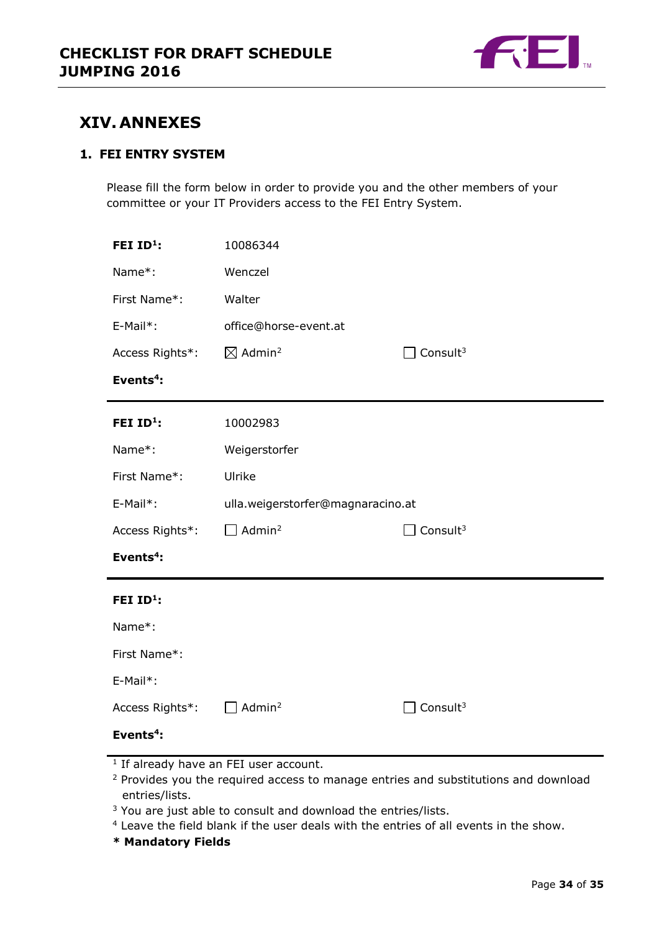

# <span id="page-33-0"></span>**XIV. ANNEXES**

## **1. FEI ENTRY SYSTEM**

Please fill the form below in order to provide you and the other members of your committee or your IT Providers access to the FEI Entry System.

| FEI ID <sup>1</sup> : | 10086344                          |                      |  |
|-----------------------|-----------------------------------|----------------------|--|
| Name*:                | Wenczel                           |                      |  |
| First Name*:          | Walter                            |                      |  |
| E-Mail*:              | office@horse-event.at             |                      |  |
| Access Rights*:       | $\boxtimes$ Admin <sup>2</sup>    | Consult <sup>3</sup> |  |
| Events <sup>4</sup> : |                                   |                      |  |
| FEI ID <sup>1</sup> : | 10002983                          |                      |  |
| Name*:                | Weigerstorfer                     |                      |  |
| First Name*:          | Ulrike                            |                      |  |
| E-Mail*:              | ulla.weigerstorfer@magnaracino.at |                      |  |
| Access Rights*:       | Admin <sup>2</sup>                | Consult <sup>3</sup> |  |
| Events <sup>4</sup> : |                                   |                      |  |
| FEI $ID1$ :           |                                   |                      |  |
| Name*:                |                                   |                      |  |
| First Name*:          |                                   |                      |  |
| E-Mail*:              |                                   |                      |  |
| Access Rights*:       | Admin <sup>2</sup>                | Consult <sup>3</sup> |  |
|                       |                                   |                      |  |

- <sup>1</sup> If already have an FEI user account.
- <sup>2</sup> Provides you the required access to manage entries and substitutions and download entries/lists.
- <sup>3</sup> You are just able to consult and download the entries/lists.
- <sup>4</sup> Leave the field blank if the user deals with the entries of all events in the show.
- **\* Mandatory Fields**